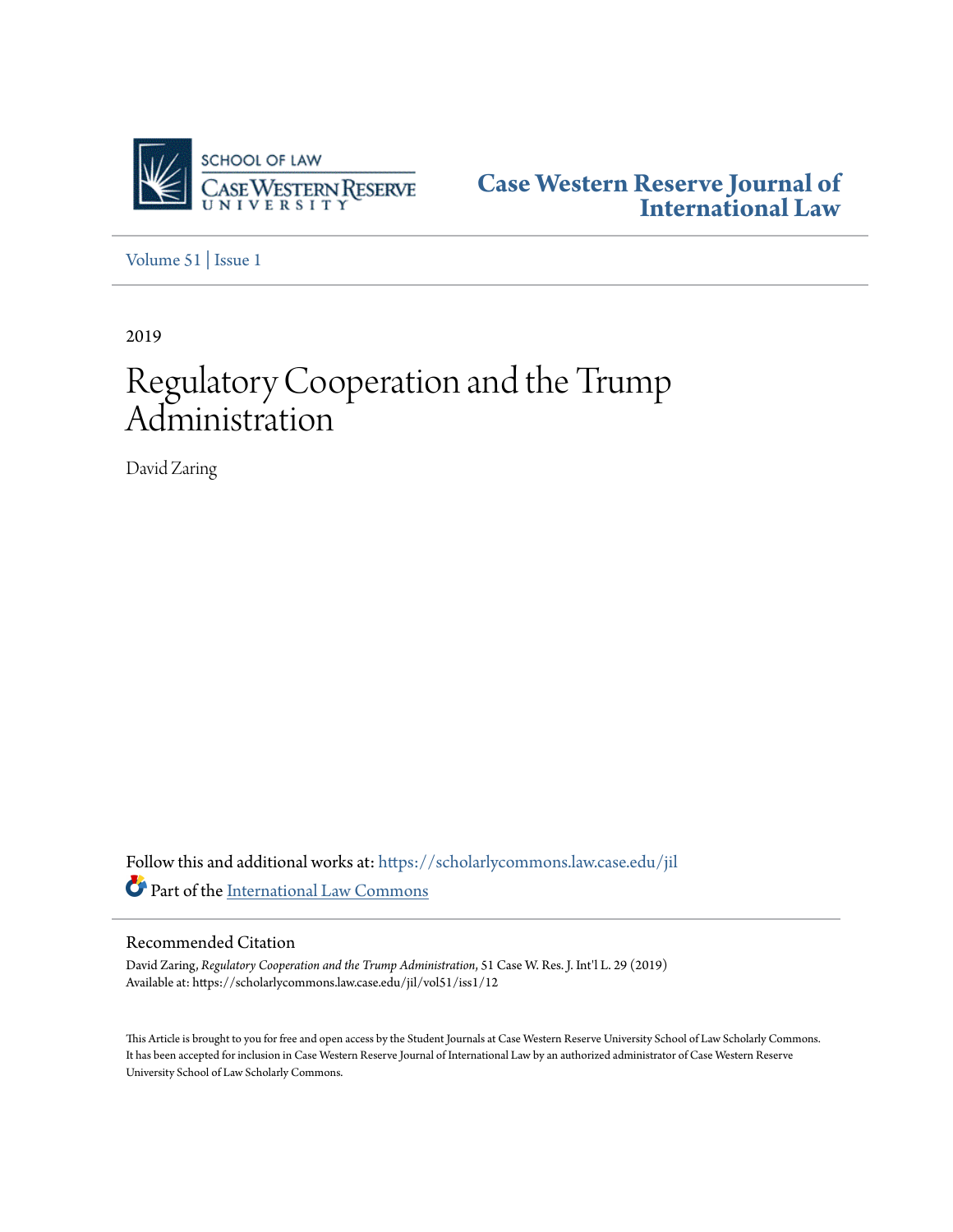

**[Case Western Reserve Journal of](https://scholarlycommons.law.case.edu/jil?utm_source=scholarlycommons.law.case.edu%2Fjil%2Fvol51%2Fiss1%2F12&utm_medium=PDF&utm_campaign=PDFCoverPages) [International Law](https://scholarlycommons.law.case.edu/jil?utm_source=scholarlycommons.law.case.edu%2Fjil%2Fvol51%2Fiss1%2F12&utm_medium=PDF&utm_campaign=PDFCoverPages)**

[Volume 51](https://scholarlycommons.law.case.edu/jil/vol51?utm_source=scholarlycommons.law.case.edu%2Fjil%2Fvol51%2Fiss1%2F12&utm_medium=PDF&utm_campaign=PDFCoverPages) | [Issue 1](https://scholarlycommons.law.case.edu/jil/vol51/iss1?utm_source=scholarlycommons.law.case.edu%2Fjil%2Fvol51%2Fiss1%2F12&utm_medium=PDF&utm_campaign=PDFCoverPages)

2019

# Regulatory Cooperation and the Trump Administration

David Zaring

Follow this and additional works at: [https://scholarlycommons.law.case.edu/jil](https://scholarlycommons.law.case.edu/jil?utm_source=scholarlycommons.law.case.edu%2Fjil%2Fvol51%2Fiss1%2F12&utm_medium=PDF&utm_campaign=PDFCoverPages) Part of the [International Law Commons](http://network.bepress.com/hgg/discipline/609?utm_source=scholarlycommons.law.case.edu%2Fjil%2Fvol51%2Fiss1%2F12&utm_medium=PDF&utm_campaign=PDFCoverPages)

Recommended Citation

David Zaring, *Regulatory Cooperation and the Trump Administration*, 51 Case W. Res. J. Int'l L. 29 (2019) Available at: https://scholarlycommons.law.case.edu/jil/vol51/iss1/12

This Article is brought to you for free and open access by the Student Journals at Case Western Reserve University School of Law Scholarly Commons. It has been accepted for inclusion in Case Western Reserve Journal of International Law by an authorized administrator of Case Western Reserve University School of Law Scholarly Commons.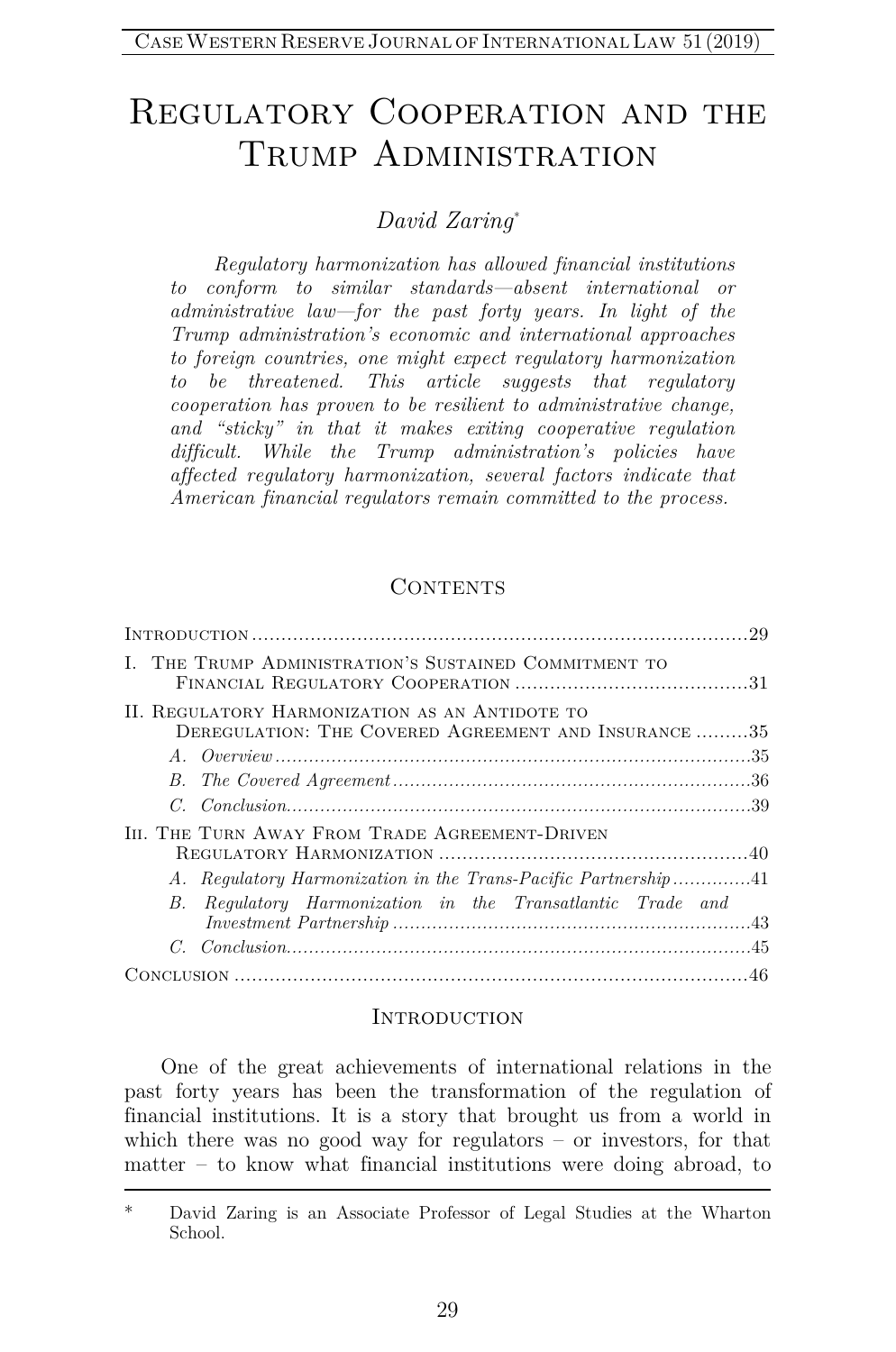# REGULATORY COOPERATION AND THE TRUMP ADMINISTRATION

# *David Zaring*[\\*](#page-1-0)

*Regulatory harmonization has allowed financial institutions to conform to similar standards—absent international or administrative law—for the past forty years. In light of the Trump administration's economic and international approaches to foreign countries, one might expect regulatory harmonization to be threatened. This article suggests that regulatory cooperation has proven to be resilient to administrative change, and "sticky" in that it makes exiting cooperative regulation difficult. While the Trump administration's policies have affected regulatory harmonization, several factors indicate that American financial regulators remain committed to the process.* 

#### **CONTENTS**

| I. THE TRUMP ADMINISTRATION'S SUSTAINED COMMITMENT TO                                                  |  |
|--------------------------------------------------------------------------------------------------------|--|
| II. REGULATORY HARMONIZATION AS AN ANTIDOTE TO<br>DEREGULATION: THE COVERED AGREEMENT AND INSURANCE 35 |  |
|                                                                                                        |  |
|                                                                                                        |  |
|                                                                                                        |  |
| III. THE TURN AWAY FROM TRADE AGREEMENT-DRIVEN                                                         |  |
|                                                                                                        |  |
| B. Regulatory Harmonization in the Transatlantic Trade and                                             |  |
|                                                                                                        |  |
|                                                                                                        |  |

#### **INTRODUCTION**

One of the great achievements of international relations in the past forty years has been the transformation of the regulation of financial institutions. It is a story that brought us from a world in which there was no good way for regulators – or investors, for that matter – to know what financial institutions were doing abroad, to

<span id="page-1-0"></span>David Zaring is an Associate Professor of Legal Studies at the Wharton School.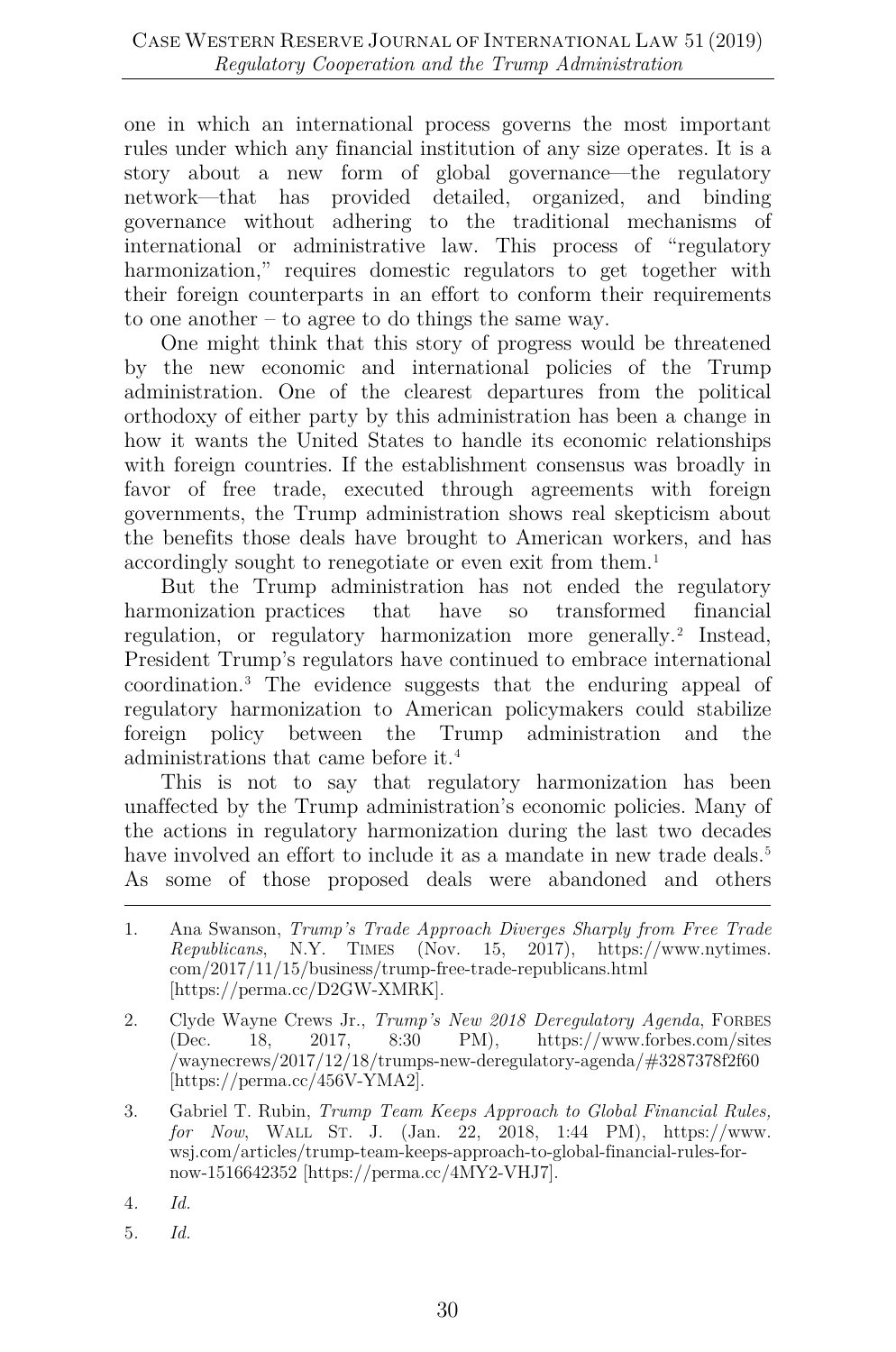one in which an international process governs the most important rules under which any financial institution of any size operates. It is a story about a new form of global governance—the regulatory network—that has provided detailed, organized, and binding governance without adhering to the traditional mechanisms of international or administrative law. This process of "regulatory harmonization," requires domestic regulators to get together with their foreign counterparts in an effort to conform their requirements to one another – to agree to do things the same way.

One might think that this story of progress would be threatened by the new economic and international policies of the Trump administration. One of the clearest departures from the political orthodoxy of either party by this administration has been a change in how it wants the United States to handle its economic relationships with foreign countries. If the establishment consensus was broadly in favor of free trade, executed through agreements with foreign governments, the Trump administration shows real skepticism about the benefits those deals have brought to American workers, and has accordingly sought to renegotiate or even exit from them.[1](#page-2-0)

But the Trump administration has not ended the regulatory harmonization practices that have so transformed financial regulation, or regulatory harmonization more generally.[2](#page-2-1) Instead, President Trump's regulators have continued to embrace international coordination.[3](#page-2-2) The evidence suggests that the enduring appeal of regulatory harmonization to American policymakers could stabilize foreign policy between the Trump administration and the administrations that came before it.[4](#page-2-3)

This is not to say that regulatory harmonization has been unaffected by the Trump administration's economic policies. Many of the actions in regulatory harmonization during the last two decades have involved an effort to include it as a mandate in new trade deals.<sup>[5](#page-2-4)</sup> As some of those proposed deals were abandoned and others

<span id="page-2-4"></span>5*. Id.*

<span id="page-2-0"></span><sup>1.</sup> Ana Swanson, *Trump's Trade Approach Diverges Sharply from Free Trade Republicans*, N.Y. TIMES (Nov. 15, 2017), https://www.nytimes. com/2017/11/15/business/trump-free-trade-republicans.html [https://perma.cc/D2GW-XMRK].

<span id="page-2-1"></span><sup>2.</sup> Clyde Wayne Crews Jr., *Trump's New 2018 Deregulatory Agenda*, FORBES (Dec. 18, 2017, 8:30 PM), https://www.forbes.com/sites /waynecrews/2017/12/18/trumps-new-deregulatory-agenda/#3287378f2f60 [https://perma.cc/456V-YMA2].

<span id="page-2-2"></span><sup>3.</sup> Gabriel T. Rubin, *Trump Team Keeps Approach to Global Financial Rules, for Now*, WALL ST. J. (Jan. 22, 2018, 1:44 PM), https://www. wsj.com/articles/trump-team-keeps-approach-to-global-financial-rules-fornow-1516642352 [https://perma.cc/4MY2-VHJ7].

<span id="page-2-3"></span><sup>4</sup>*. Id.*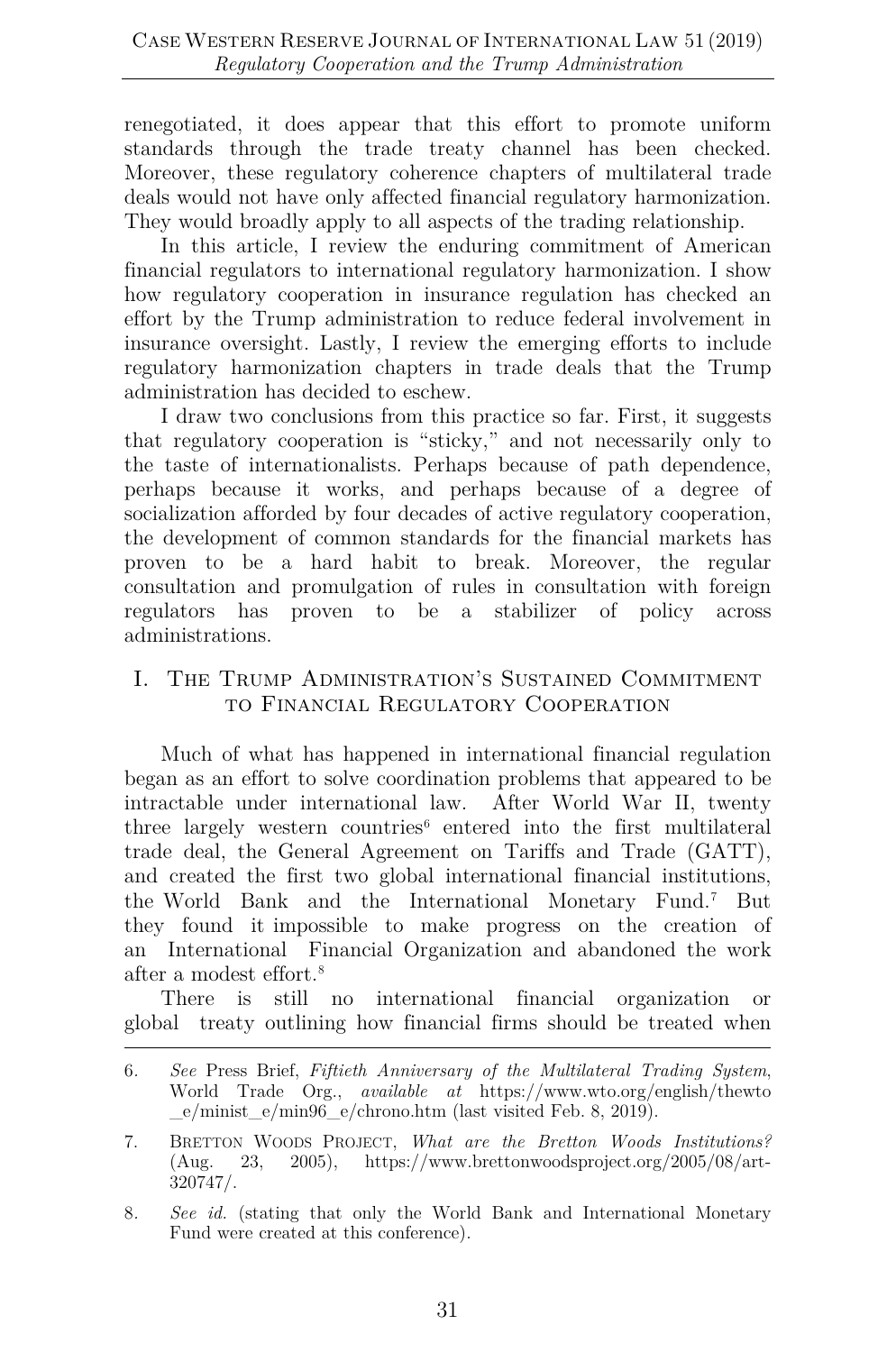renegotiated, it does appear that this effort to promote uniform standards through the trade treaty channel has been checked. Moreover, these regulatory coherence chapters of multilateral trade deals would not have only affected financial regulatory harmonization. They would broadly apply to all aspects of the trading relationship.

In this article, I review the enduring commitment of American financial regulators to international regulatory harmonization. I show how regulatory cooperation in insurance regulation has checked an effort by the Trump administration to reduce federal involvement in insurance oversight. Lastly, I review the emerging efforts to include regulatory harmonization chapters in trade deals that the Trump administration has decided to eschew.

I draw two conclusions from this practice so far. First, it suggests that regulatory cooperation is "sticky," and not necessarily only to the taste of internationalists. Perhaps because of path dependence, perhaps because it works, and perhaps because of a degree of socialization afforded by four decades of active regulatory cooperation, the development of common standards for the financial markets has proven to be a hard habit to break. Moreover, the regular consultation and promulgation of rules in consultation with foreign regulators has proven to be a stabilizer of policy across administrations.

# I. The Trump Administration's Sustained Commitment to Financial Regulatory Cooperation

Much of what has happened in international financial regulation began as an effort to solve coordination problems that appeared to be intractable under international law. After World War II, twenty three largely western countries $6$  entered into the first multilateral trade deal, the General Agreement on Tariffs and Trade (GATT), and created the first two global international financial institutions, the World Bank and the International Monetary Fund.[7](#page-3-1) But they found it impossible to make progress on the creation of an International Financial Organization and abandoned the work after a modest effort.[8](#page-3-2)

There is still no international financial organization or global treaty outlining how financial firms should be treated when

<span id="page-3-0"></span><sup>6</sup>*. See* Press Brief, *Fiftieth Anniversary of the Multilateral Trading System*, World Trade Org., *available at* https://www.wto.org/english/thewto \_e/minist\_e/min96\_e/chrono.htm (last visited Feb. 8, 2019).

<span id="page-3-1"></span><sup>7.</sup> BRETTON WOODS PROJECT, *What are the Bretton Woods Institutions?*  (Aug. 23, 2005), https://www.brettonwoodsproject.org/2005/08/art-320747/.

<span id="page-3-2"></span><sup>8</sup>*. See id.* (stating that only the World Bank and International Monetary Fund were created at this conference).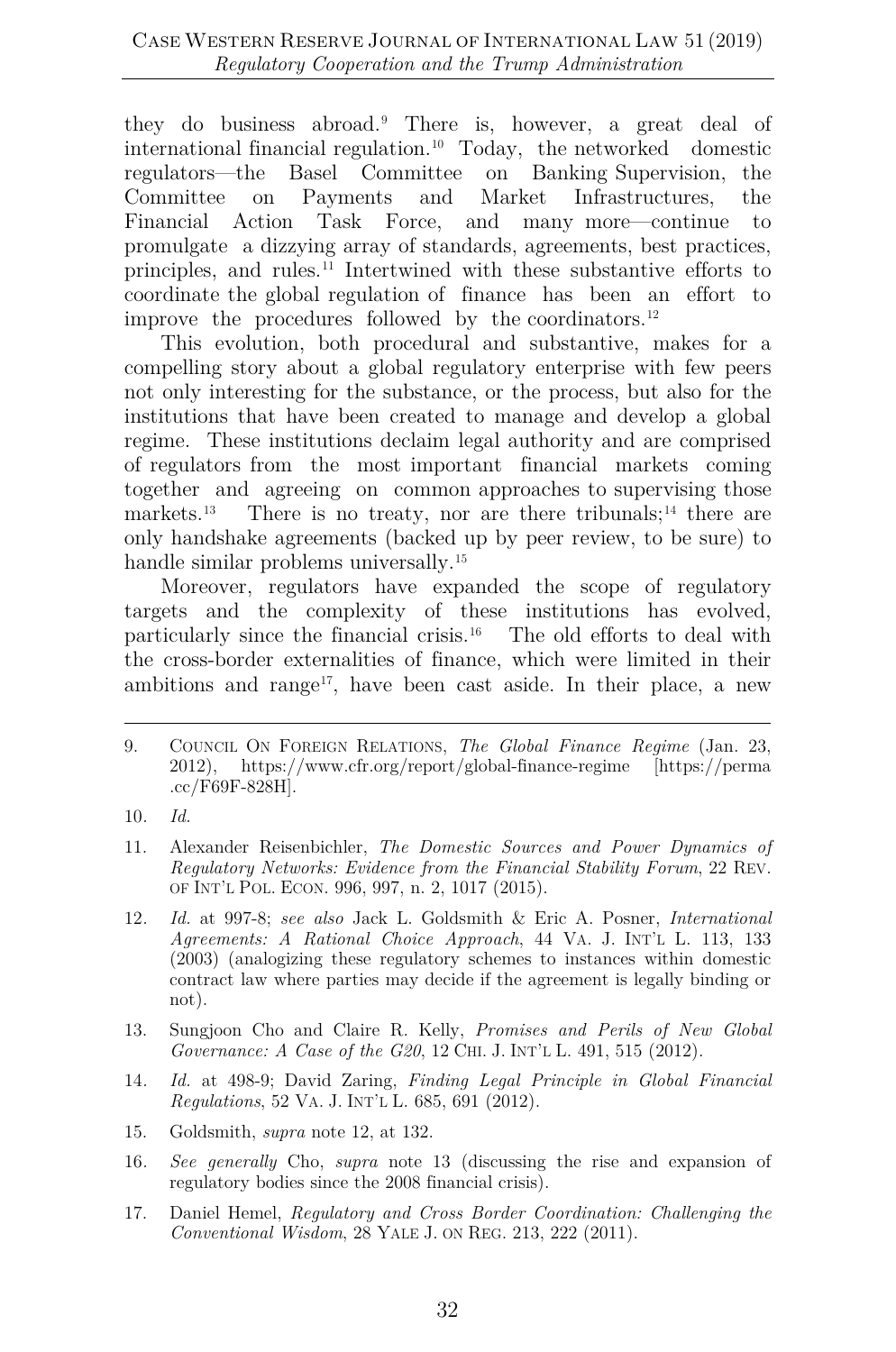they do business abroad.[9](#page-4-0) There is, however, a great deal of international financial regulation. [10](#page-4-1) Today, the networked domestic regulators—the Basel Committee on Banking Supervision, the Committee on Payments and Market Infrastructures, the Financial Action Task Force, and many more—continue to promulgate a dizzying array of standards, agreements, best practices, principles, and rules.[11](#page-4-2) Intertwined with these substantive efforts to coordinate the global regulation of finance has been an effort to improve the procedures followed by the coordinators.<sup>[12](#page-4-3)</sup>

This evolution, both procedural and substantive, makes for a compelling story about a global regulatory enterprise with few peers not only interesting for the substance, or the process, but also for the institutions that have been created to manage and develop a global regime. These institutions declaim legal authority and are comprised of regulators from the most important financial markets coming together and agreeing on common approaches to supervising those markets.<sup>[13](#page-4-4)</sup> There is no treaty, nor are there tribunals;<sup>[14](#page-4-5)</sup> there are only handshake agreements (backed up by peer review, to be sure) to handle similar problems universally.<sup>[15](#page-4-6)</sup>

Moreover, regulators have expanded the scope of regulatory targets and the complexity of these institutions has evolved, particularly since the financial crisis. $16$  The old efforts to deal with the cross-border externalities of finance, which were limited in their ambitions and range<sup>17</sup>, have been cast aside. In their place, a new

- <span id="page-4-2"></span>11. Alexander Reisenbichler, *The Domestic Sources and Power Dynamics of Regulatory Networks: Evidence from the Financial Stability Forum*, 22 REV. OF INT'L POL. ECON. 996, 997, n. 2, 1017 (2015).
- <span id="page-4-3"></span>12*. Id.* at 997-8; *see also* Jack L. Goldsmith & Eric A. Posner, *International Agreements: A Rational Choice Approach*, 44 VA. J. INT'L L. 113, 133 (2003) (analogizing these regulatory schemes to instances within domestic contract law where parties may decide if the agreement is legally binding or not).
- <span id="page-4-4"></span>13. Sungjoon Cho and Claire R. Kelly, *Promises and Perils of New Global Governance: A Case of the G20*, 12 CHI. J. INT'L L. 491, 515 (2012).
- <span id="page-4-5"></span>14*. Id.* at 498-9; David Zaring, *Finding Legal Principle in Global Financial Regulations*, 52 VA. J. INT'L L. 685, 691 (2012).
- <span id="page-4-6"></span>15. Goldsmith, *supra* note 12, at 132.
- <span id="page-4-7"></span>16*. See generally* Cho, *supra* note 13 (discussing the rise and expansion of regulatory bodies since the 2008 financial crisis).
- <span id="page-4-8"></span>17. Daniel Hemel, *Regulatory and Cross Border Coordination: Challenging the Conventional Wisdom*, 28 YALE J. ON REG. 213, 222 (2011).

<span id="page-4-0"></span><sup>9.</sup> COUNCIL ON FOREIGN RELATIONS, *The Global Finance Regime* (Jan. 23, 2012), https://www.cfr.org/report/global-finance-regime [https://perma .cc/F69F-828H].

<span id="page-4-1"></span><sup>10</sup>*. Id.*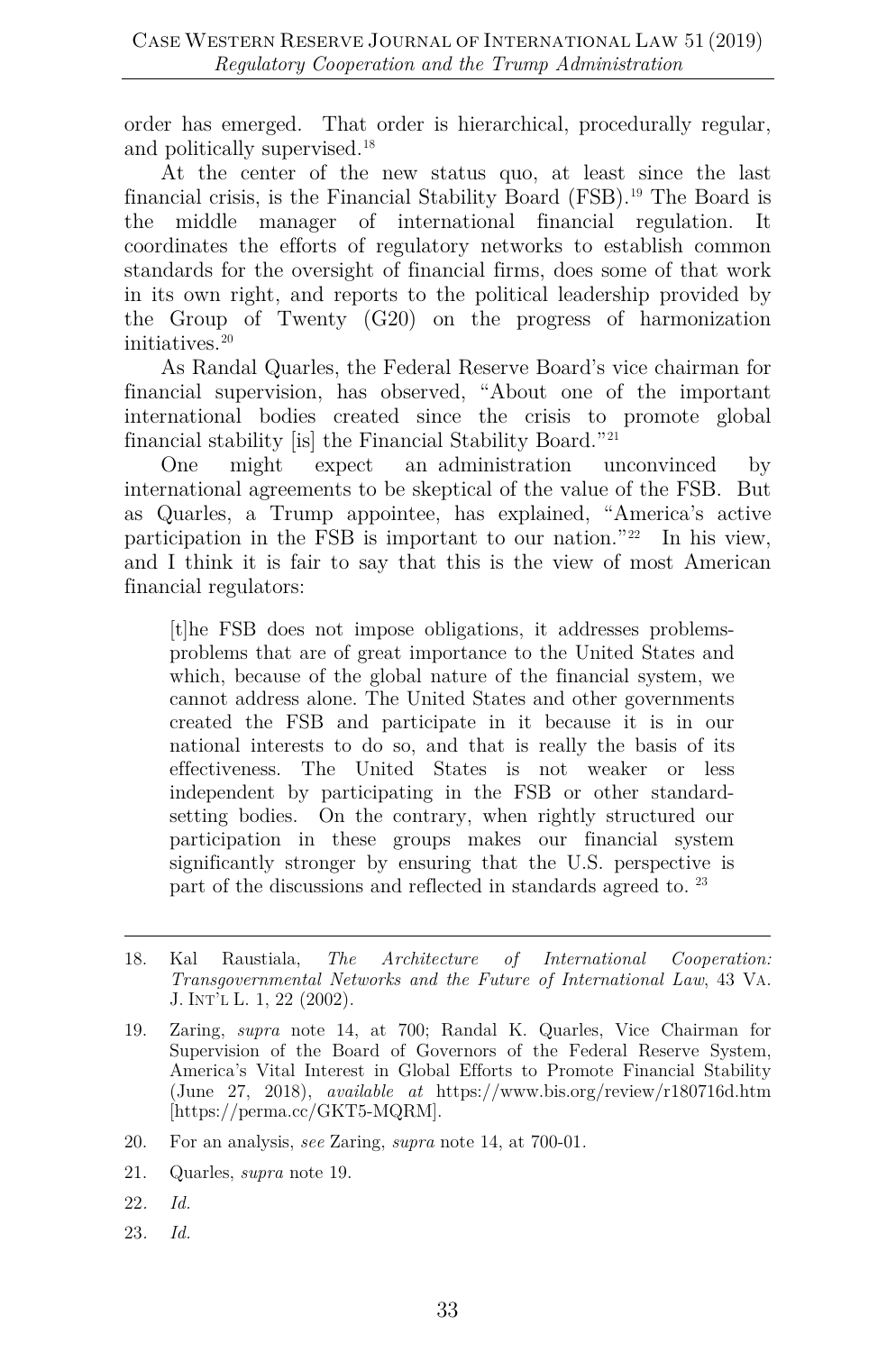order has emerged. That order is hierarchical, procedurally regular, and politically supervised.<sup>[18](#page-5-0)</sup>

At the center of the new status quo, at least since the last financial crisis, is the Financial Stability Board (FSB).[19](#page-5-1) The Board is the middle manager of international financial regulation. It coordinates the efforts of regulatory networks to establish common standards for the oversight of financial firms, does some of that work in its own right, and reports to the political leadership provided by the Group of Twenty (G20) on the progress of harmonization initiatives.[20](#page-5-2)

As Randal Quarles, the Federal Reserve Board's vice chairman for financial supervision, has observed, "About one of the important international bodies created since the crisis to promote global financial stability [is] the Financial Stability Board."[21](#page-5-3)

One might expect an administration unconvinced by international agreements to be skeptical of the value of the FSB. But as Quarles, a Trump appointee, has explained, "America's active participation in the FSB is important to our nation."[22](#page-5-4) In his view, and I think it is fair to say that this is the view of most American financial regulators:

[t]he FSB does not impose obligations, it addresses problemsproblems that are of great importance to the United States and which, because of the global nature of the financial system, we cannot address alone. The United States and other governments created the FSB and participate in it because it is in our national interests to do so, and that is really the basis of its effectiveness. The United States is not weaker or less independent by participating in the FSB or other standardsetting bodies. On the contrary, when rightly structured our participation in these groups makes our financial system significantly stronger by ensuring that the U.S. perspective is part of the discussions and reflected in standards agreed to.<sup>[23](#page-5-5)</sup>

- <span id="page-5-3"></span>21. Quarles, *supra* note 19.
- <span id="page-5-4"></span>22*. Id.*
- <span id="page-5-5"></span>23*. Id.*

<span id="page-5-0"></span><sup>18.</sup> Kal Raustiala, *The Architecture of International Cooperation: Transgovernmental Networks and the Future of International Law*, 43 VA. J. INT'L L. 1, 22 (2002).

<span id="page-5-1"></span><sup>19.</sup> Zaring, *supra* note 14, at 700; Randal K. Quarles, Vice Chairman for Supervision of the Board of Governors of the Federal Reserve System, America's Vital Interest in Global Efforts to Promote Financial Stability (June 27, 2018), *available at* https://www.bis.org/review/r180716d.htm [https://perma.cc/GKT5-MQRM].

<span id="page-5-2"></span><sup>20.</sup> For an analysis, *see* Zaring, *supra* note 14, at 700-01*.*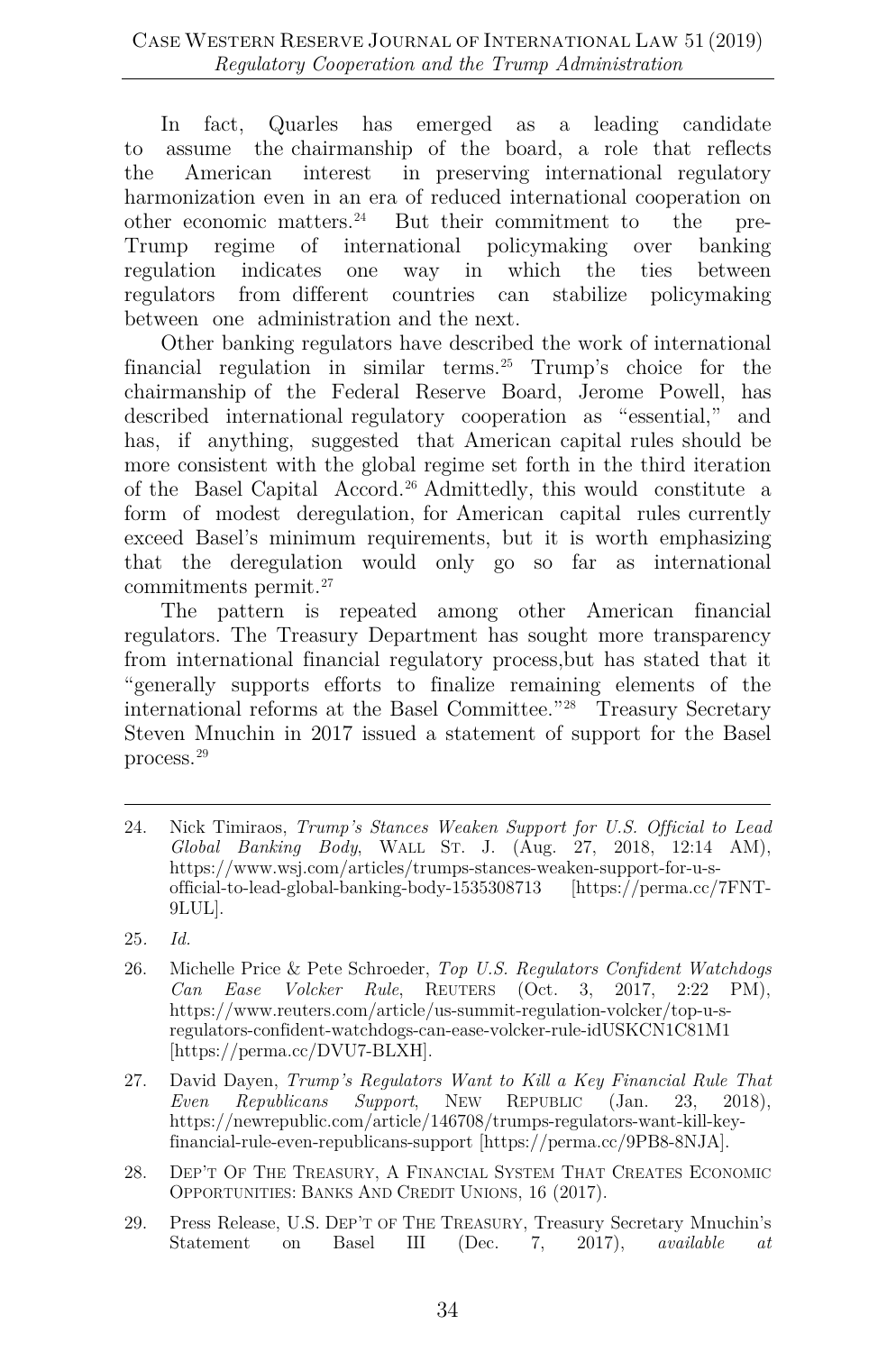In fact, Quarles has emerged as a leading candidate to assume the chairmanship of the board, a role that reflects the American interest in preserving international regulatory harmonization even in an era of reduced international cooperation on other economic matters[.24](#page-6-0) But their commitment to the pre-Trump regime of international policymaking over banking regulation indicates one way in which the ties between regulators from different countries can stabilize policymaking between one administration and the next.

Other banking regulators have described the work of international financial regulation in similar terms.<sup>[25](#page-6-1)</sup> Trump's choice for the chairmanship of the Federal Reserve Board, Jerome Powell, has described international regulatory cooperation as "essential," and has, if anything, suggested that American capital rules should be more consistent with the global regime set forth in the third iteration of the Basel Capital Accord.[26](#page-6-2) Admittedly, this would constitute a form of modest deregulation, for American capital rules currently exceed Basel's minimum requirements, but it is worth emphasizing that the deregulation would only go so far as international commitments permit.[27](#page-6-3)

The pattern is repeated among other American financial regulators. The Treasury Department has sought more transparency from international financial regulatory process,but has stated that it "generally supports efforts to finalize remaining elements of the international reforms at the Basel Committee."[28](#page-6-4) Treasury Secretary Steven Mnuchin in 2017 issued a statement of support for the Basel process.[29](#page-6-5)

<span id="page-6-3"></span>27. David Dayen, *Trump's Regulators Want to Kill a Key Financial Rule That Even Republicans Support*, NEW REPUBLIC (Jan. 23, 2018), https://newrepublic.com/article/146708/trumps-regulators-want-kill-keyfinancial-rule-even-republicans-support [https://perma.cc/9PB8-8NJA].

<span id="page-6-4"></span>28. DEP'T OF THE TREASURY, A FINANCIAL SYSTEM THAT CREATES ECONOMIC OPPORTUNITIES: BANKS AND CREDIT UNIONS, 16 (2017).

<span id="page-6-0"></span><sup>24.</sup> Nick Timiraos, *Trump's Stances Weaken Support for U.S. Official to Lead Global Banking Body*, WALL ST. J. (Aug. 27, 2018, 12:14 AM), https://www.wsj.com/articles/trumps-stances-weaken-support-for-u-sofficial-to-lead-global-banking-body-1535308713 [https://perma.cc/7FNT-9LUL].

<span id="page-6-1"></span><sup>25</sup>*. Id.*

<span id="page-6-2"></span><sup>26.</sup> Michelle Price & Pete Schroeder, *Top U.S. Regulators Confident Watchdogs Can Ease Volcker Rule*, REUTERS (Oct. 3, 2017, 2:22 PM), https://www.reuters.com/article/us-summit-regulation-volcker/top-u-sregulators-confident-watchdogs-can-ease-volcker-rule-idUSKCN1C81M1 [https://perma.cc/DVU7-BLXH].

<span id="page-6-5"></span><sup>29.</sup> Press Release, U.S. DEP'T OF THE TREASURY, Treasury Secretary Mnuchin's Statement on Basel III (Dec. 7, 2017), *available at*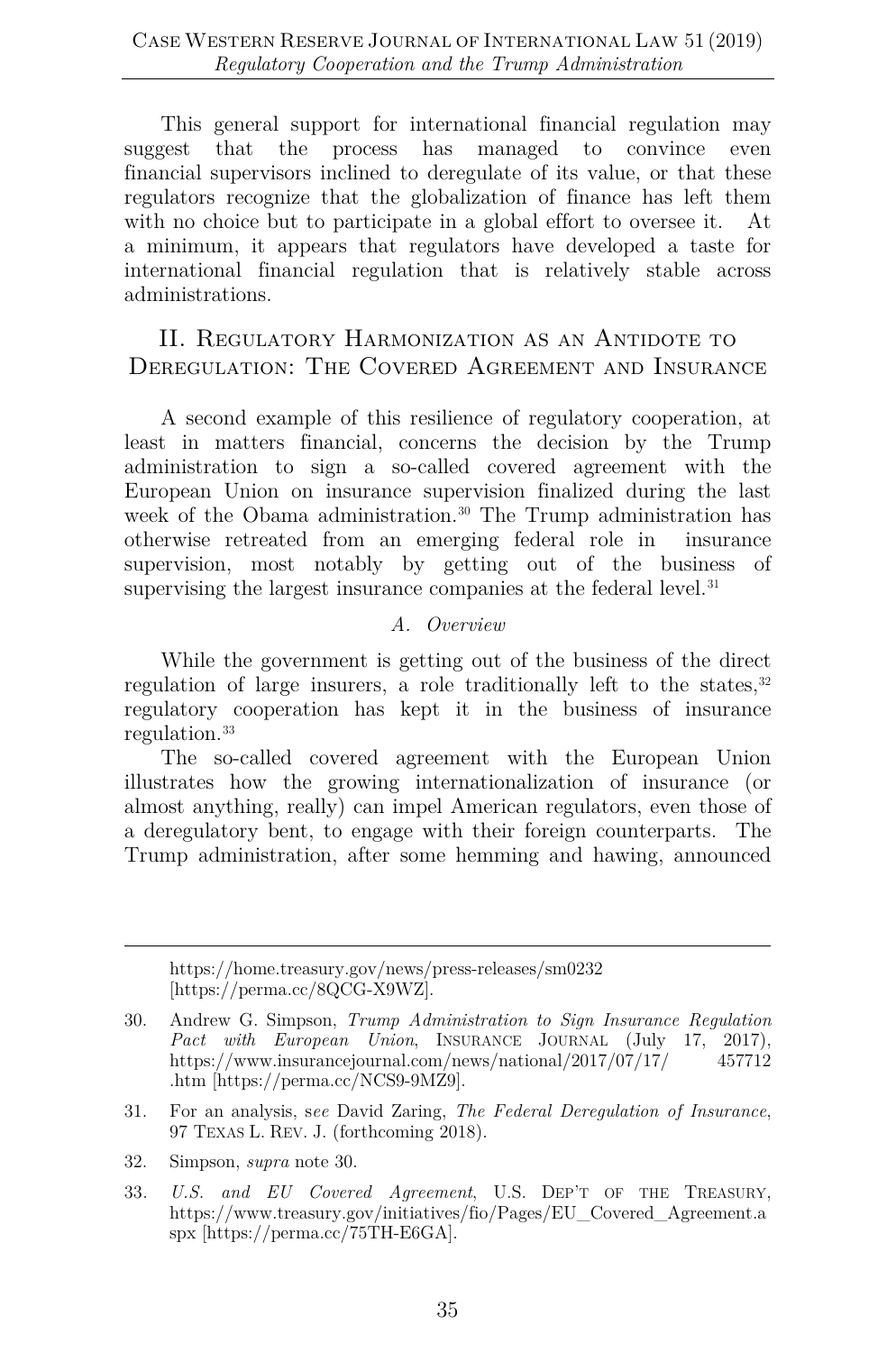This general support for international financial regulation may suggest that the process has managed to convince even financial supervisors inclined to deregulate of its value, or that these regulators recognize that the globalization of finance has left them with no choice but to participate in a global effort to oversee it. At a minimum, it appears that regulators have developed a taste for international financial regulation that is relatively stable across administrations.

# II. REGULATORY HARMONIZATION AS AN ANTIDOTE TO DEREGULATION: THE COVERED AGREEMENT AND INSURANCE

A second example of this resilience of regulatory cooperation, at least in matters financial, concerns the decision by the Trump administration to sign a so-called covered agreement with the European Union on insurance supervision finalized during the last week of the Obama administration.<sup>[30](#page-7-0)</sup> The Trump administration has otherwise retreated from an emerging federal role in insurance supervision, most notably by getting out of the business of supervising the largest insurance companies at the federal level.<sup>31</sup>

#### *A. Overview*

While the government is getting out of the business of the direct regulation of large insurers, a role traditionally left to the states, $32$ regulatory cooperation has kept it in the business of insurance regulation.[33](#page-7-3)

The so-called covered agreement with the European Union illustrates how the growing internationalization of insurance (or almost anything, really) can impel American regulators, even those of a deregulatory bent, to engage with their foreign counterparts. The Trump administration, after some hemming and hawing, announced

https://home.treasury.gov/news/press-releases/sm0232 [https://perma.cc/8QCG-X9WZ].

<span id="page-7-0"></span><sup>30.</sup> Andrew G. Simpson, *Trump Administration to Sign Insurance Regulation Pact with European Union*, INSURANCE JOURNAL (July 17, 2017), https://www.insurancejournal.com/news/national/2017/07/17/ 457712 .htm [https://perma.cc/NCS9-9MZ9].

<span id="page-7-1"></span><sup>31.</sup> For an analysis, s*ee* David Zaring, *The Federal Deregulation of Insurance*, 97 TEXAS L. REV. J. (forthcoming 2018).

<span id="page-7-2"></span><sup>32.</sup> Simpson, *supra* note 30.

<span id="page-7-3"></span><sup>33</sup>*. U.S. and EU Covered Agreement*, U.S. DEP'T OF THE TREASURY, https://www.treasury.gov/initiatives/fio/Pages/EU\_Covered\_Agreement.a spx [https://perma.cc/75TH-E6GA].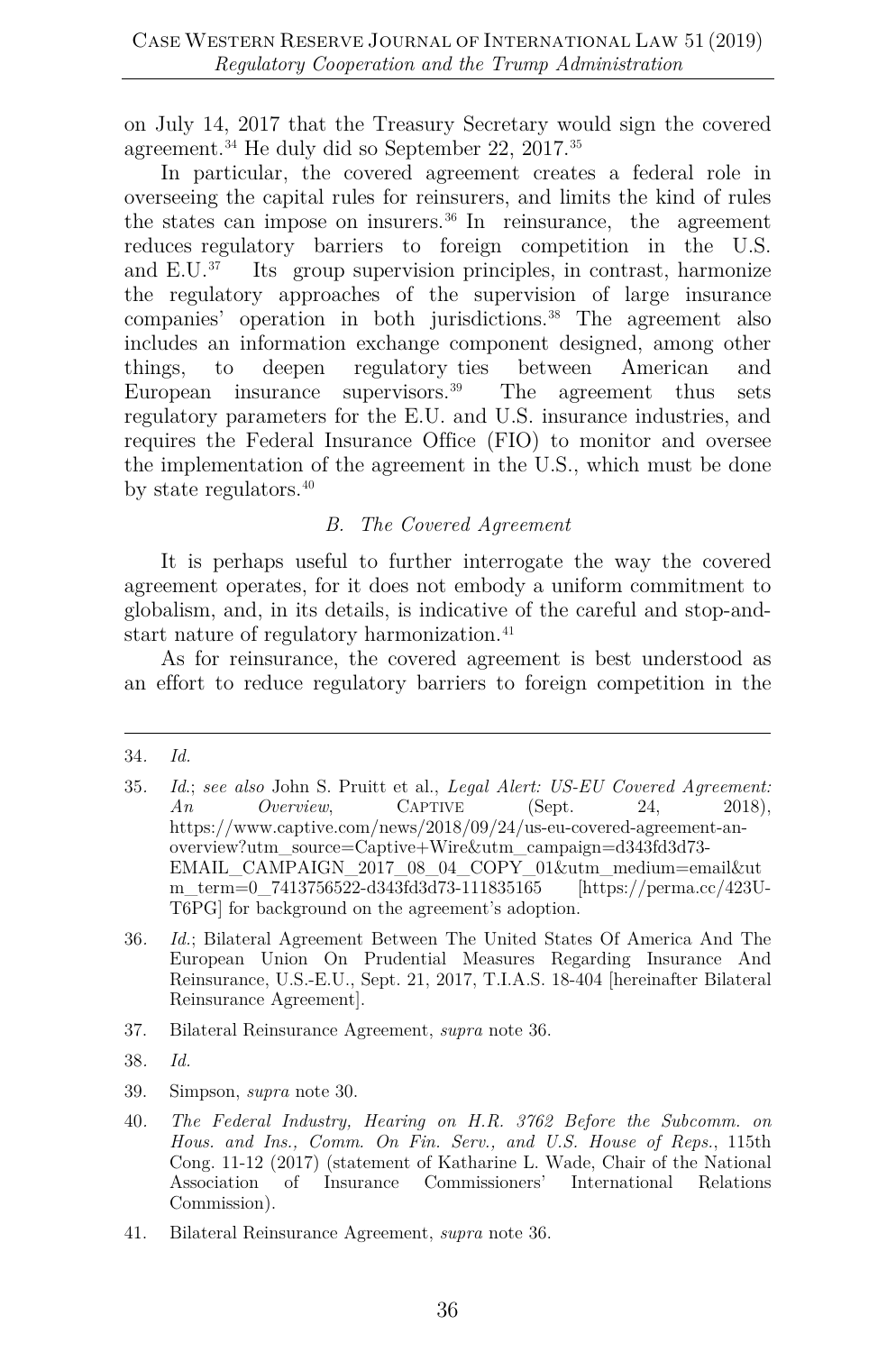on July 14, 2017 that the Treasury Secretary would sign the covered agreement.[34](#page-8-0) He duly did so September 22, 2017.[35](#page-8-1)

In particular, the covered agreement creates a federal role in overseeing the capital rules for reinsurers, and limits the kind of rules the states can impose on insurers. [36](#page-8-2) In reinsurance, the agreement reduces regulatory barriers to foreign competition in the U.S. and E.U. [37](#page-8-3) Its group supervision principles, in contrast, harmonize the regulatory approaches of the supervision of large insurance companies' operation in both jurisdictions.[38](#page-8-4) The agreement also includes an information exchange component designed, among other things, to deepen regulatory ties between American and European insurance supervisors.<sup>39</sup> The agreement thus sets regulatory parameters for the E.U. and U.S. insurance industries, and requires the Federal Insurance Office (FIO) to monitor and oversee the implementation of the agreement in the U.S., which must be done by state regulators.<sup>[40](#page-8-6)</sup>

#### *B. The Covered Agreement*

It is perhaps useful to further interrogate the way the covered agreement operates, for it does not embody a uniform commitment to globalism, and, in its details, is indicative of the careful and stop-andstart nature of regulatory harmonization.<sup>41</sup>

As for reinsurance, the covered agreement is best understood as an effort to reduce regulatory barriers to foreign competition in the

- <span id="page-8-3"></span>37. Bilateral Reinsurance Agreement, *supra* note 36.
- <span id="page-8-4"></span>38*. Id.*
- <span id="page-8-5"></span>39. Simpson, *supra* note 30.

<span id="page-8-0"></span><sup>34</sup>*. Id.*

<span id="page-8-1"></span><sup>35</sup>*. Id*.; *see also* John S. Pruitt et al., *Legal Alert: US-EU Covered Agreement: An Overview*, CAPTIVE (Sept. 24, 2018), https://www.captive.com/news/2018/09/24/us-eu-covered-agreement-anoverview?utm\_source=Captive+Wire&utm\_campaign=d343fd3d73- EMAIL\_CAMPAIGN\_2017\_08\_04\_COPY\_01&utm\_medium=email&ut m\_term=0\_7413756522-d343fd3d73-111835165 [https://perma.cc/423U-T6PG] for background on the agreement's adoption.

<span id="page-8-2"></span><sup>36</sup>*. Id.*; Bilateral Agreement Between The United States Of America And The European Union On Prudential Measures Regarding Insurance And Reinsurance, U.S.-E.U., Sept. 21, 2017, T.I.A.S. 18-404 [hereinafter Bilateral Reinsurance Agreement].

<span id="page-8-6"></span><sup>40</sup>*. The Federal Industry, Hearing on H.R. 3762 Before the Subcomm. on Hous. and Ins., Comm. On Fin. Serv., and U.S. House of Reps.*, 115th Cong. 11-12 (2017) (statement of Katharine L. Wade, Chair of the National Association of Insurance Commissioners' International Relations Commission).

<span id="page-8-7"></span><sup>41.</sup> Bilateral Reinsurance Agreement, *supra* note 36.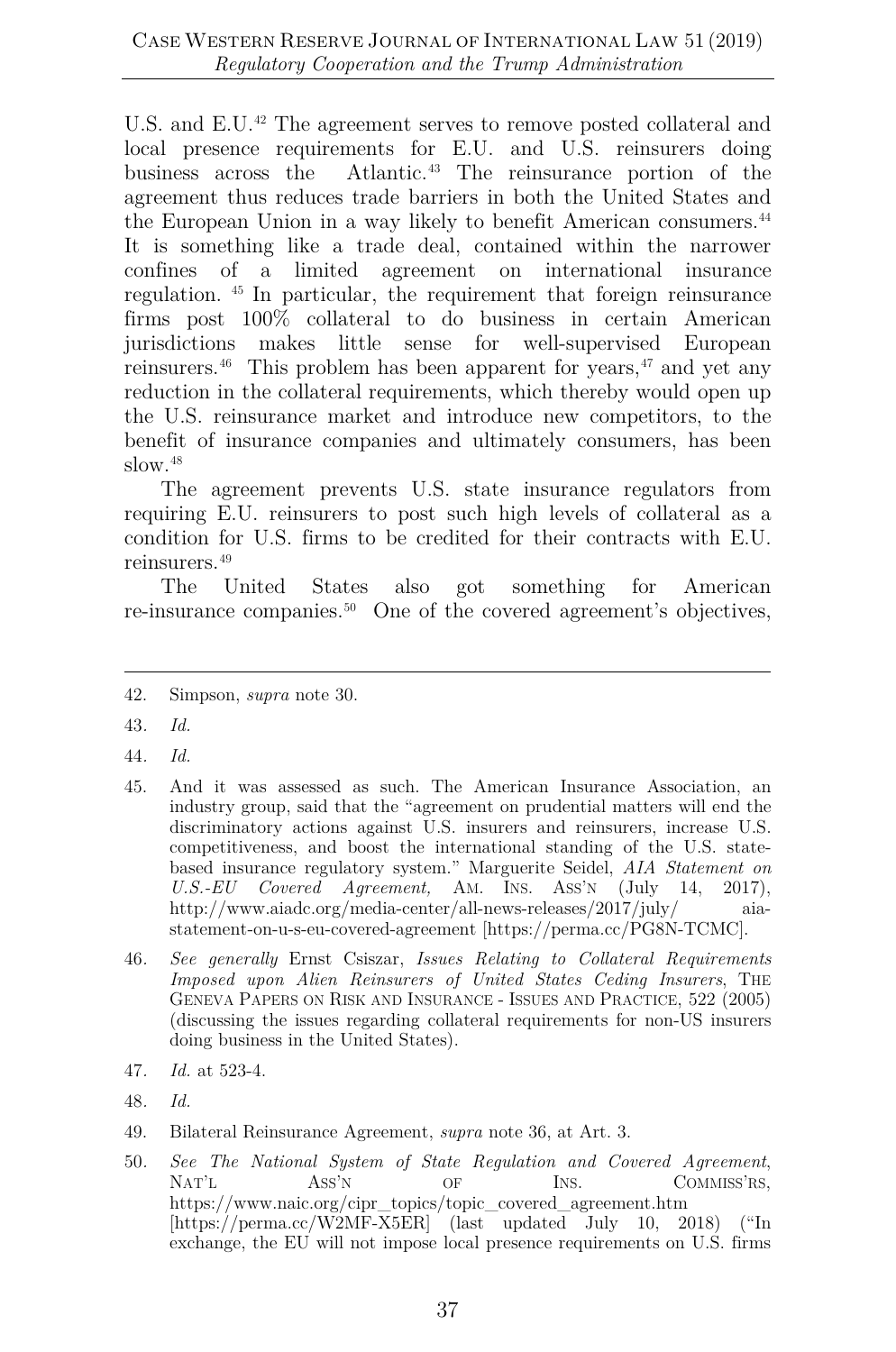U.S. and E.U.<sup>[42](#page-9-0)</sup> The agreement serves to remove posted collateral and local presence requirements for E.U. and U.S. reinsurers doing business across the Atlantic.[43](#page-9-1) The reinsurance portion of the agreement thus reduces trade barriers in both the United States and the European Union in a way likely to benefit American consumers.<sup>44</sup> It is something like a trade deal, contained within the narrower confines of a limited agreement on international insurance regulation. [45](#page-9-3) In particular, the requirement that foreign reinsurance firms post 100% collateral to do business in certain American jurisdictions makes little sense for well-supervised European reinsurers.<sup>[46](#page-9-4)</sup> This problem has been apparent for years,<sup>[47](#page-9-5)</sup> and yet any reduction in the collateral requirements, which thereby would open up the U.S. reinsurance market and introduce new competitors, to the benefit of insurance companies and ultimately consumers, has been slow.<sup>[48](#page-9-6)</sup>

The agreement prevents U.S. state insurance regulators from requiring E.U. reinsurers to post such high levels of collateral as a condition for U.S. firms to be credited for their contracts with E.U. reinsurers.[49](#page-9-7)

The United States also got something for American re-insurance companies[.50](#page-9-8) One of the covered agreement's objectives,

- <span id="page-9-3"></span>45. And it was assessed as such. The American Insurance Association, an industry group, said that the "agreement on prudential matters will end the discriminatory actions against U.S. insurers and reinsurers, increase U.S. competitiveness, and boost the international standing of the U.S. statebased insurance regulatory system." Marguerite Seidel, *AIA Statement on U.S.-EU Covered Agreement,* AM. INS. ASS'N (July 14, 2017), http://www.aiadc.org/media-center/all-news-releases/2017/july/ aiastatement-on-u-s-eu-covered-agreement [https://perma.cc/PG8N-TCMC].
- <span id="page-9-4"></span>46*. See generally* Ernst Csiszar, *Issues Relating to Collateral Requirements Imposed upon Alien Reinsurers of United States Ceding Insurers*, THE GENEVA PAPERS ON RISK AND INSURANCE - ISSUES AND PRACTICE, 522 (2005) (discussing the issues regarding collateral requirements for non-US insurers doing business in the United States).
- <span id="page-9-5"></span>47*. Id.* at 523-4.
- <span id="page-9-6"></span>48*. Id.*
- <span id="page-9-7"></span>49. Bilateral Reinsurance Agreement, *supra* note 36, at Art. 3.
- <span id="page-9-8"></span>50*. See The National System of State Regulation and Covered Agreement*, NAT'L ASS'N OF INS. COMMISS'RS, https://www.naic.org/cipr\_topics/topic\_covered\_agreement.htm [https://perma.cc/W2MF-X5ER] (last updated July 10, 2018) ("In exchange, the EU will not impose local presence requirements on U.S. firms

<span id="page-9-0"></span><sup>42.</sup> Simpson, *supra* note 30.

<span id="page-9-1"></span><sup>43</sup>*. Id.*

<span id="page-9-2"></span><sup>44</sup>*. Id.*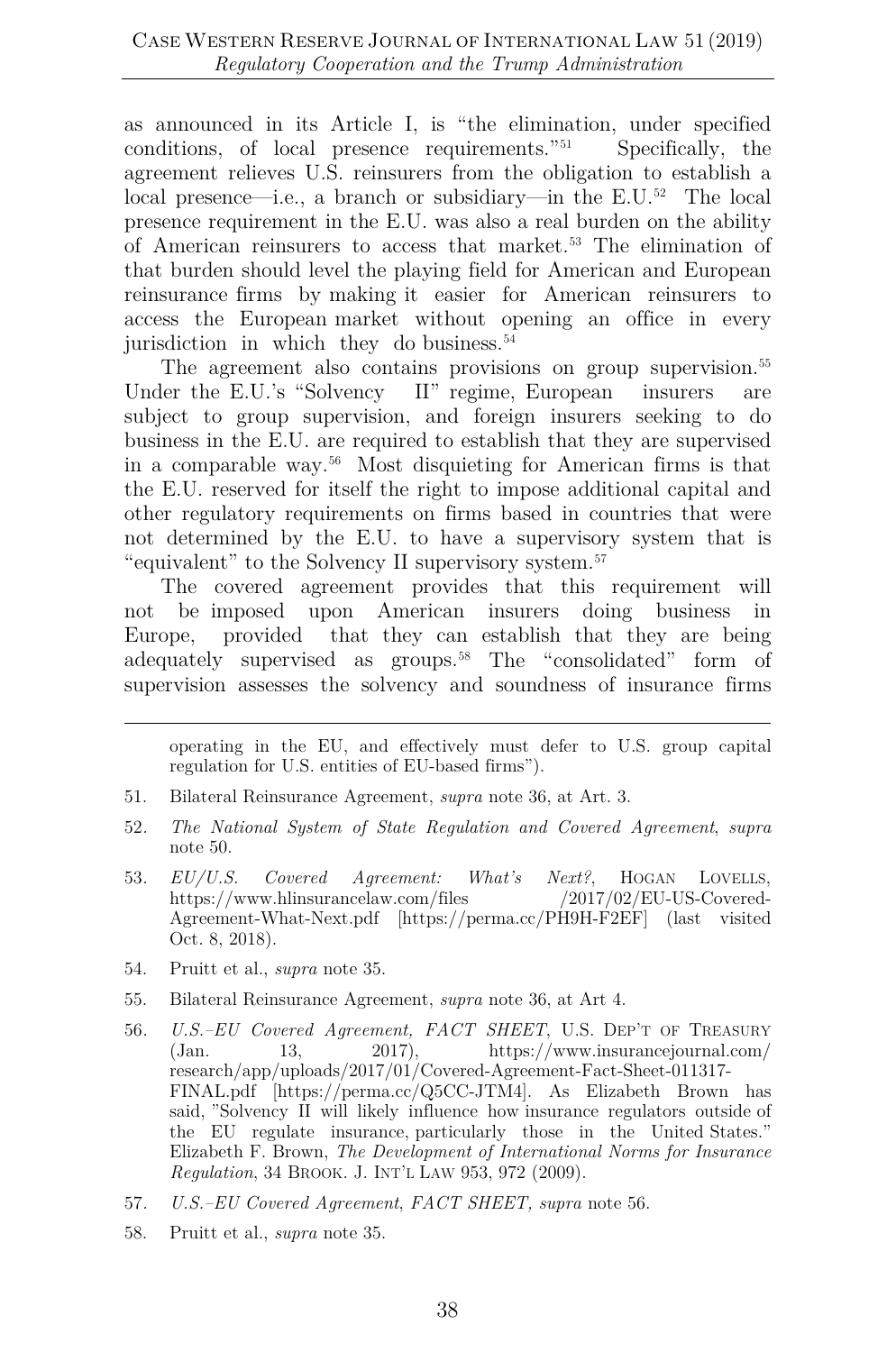as announced in its Article I, is "the elimination, under specified conditions, of local presence requirements.<sup>"[51](#page-10-0)</sup> Specifically, the agreement relieves U.S. reinsurers from the obligation to establish a local presence—i.e., a branch or subsidiary—in the E.U.[52](#page-10-1) The local presence requirement in the E.U. was also a real burden on the ability of American reinsurers to access that market[.53](#page-10-2) The elimination of that burden should level the playing field for American and European reinsurance firms by making it easier for American reinsurers to access the European market without opening an office in every jurisdiction in which they do business.<sup>[54](#page-10-3)</sup>

The agreement also contains provisions on group supervision.<sup>[55](#page-10-4)</sup> Under the E.U.'s "Solvency II" regime, European insurers are subject to group supervision, and foreign insurers seeking to do business in the E.U. are required to establish that they are supervised in a comparable way.[56](#page-10-5) Most disquieting for American firms is that the E.U. reserved for itself the right to impose additional capital and other regulatory requirements on firms based in countries that were not determined by the E.U. to have a supervisory system that is "equivalent" to the Solvency II supervisory system.[57](#page-10-6)

The covered agreement provides that this requirement will not be imposed upon American insurers doing business in Europe, provided that they can establish that they are being adequately supervised as groups.<sup>[58](#page-10-7)</sup> The "consolidated" form of supervision assesses the solvency and soundness of insurance firms

operating in the EU, and effectively must defer to U.S. group capital regulation for U.S. entities of EU-based firms").

- <span id="page-10-0"></span>51. Bilateral Reinsurance Agreement, *supra* note 36, at Art. 3.
- <span id="page-10-1"></span>52*. The National System of State Regulation and Covered Agreement*, *supra*  note 50.
- <span id="page-10-2"></span>53*. EU/U.S. Covered Agreement: What's Next?*, HOGAN LOVELLS, https://www.hlinsurancelaw.com/files /2017/02/EU-US-Covered-Agreement-What-Next.pdf [https://perma.cc/PH9H-F2EF] (last visited Oct. 8, 2018).
- <span id="page-10-3"></span>54. Pruitt et al., *supra* note 35.
- <span id="page-10-4"></span>55. Bilateral Reinsurance Agreement, *supra* note 36, at Art 4.
- <span id="page-10-5"></span>56*. U.S.–EU Covered Agreement, FACT SHEET*, U.S. DEP'T OF TREASURY (Jan. 13, 2017), https://www.insurancejournal.com/ research/app/uploads/2017/01/Covered-Agreement-Fact-Sheet-011317- FINAL.pdf [https://perma.cc/Q5CC-JTM4]. As Elizabeth Brown has said, "Solvency II will likely influence how insurance regulators outside of the EU regulate insurance, particularly those in the United States." Elizabeth F. Brown, *The Development of International Norms for Insurance Regulation*, 34 BROOK. J. INT'L LAW 953, 972 (2009).
- <span id="page-10-6"></span>57*. U.S.–EU Covered Agreement*, *FACT SHEET, supra* note 56.
- <span id="page-10-7"></span>58. Pruitt et al., *supra* note 35.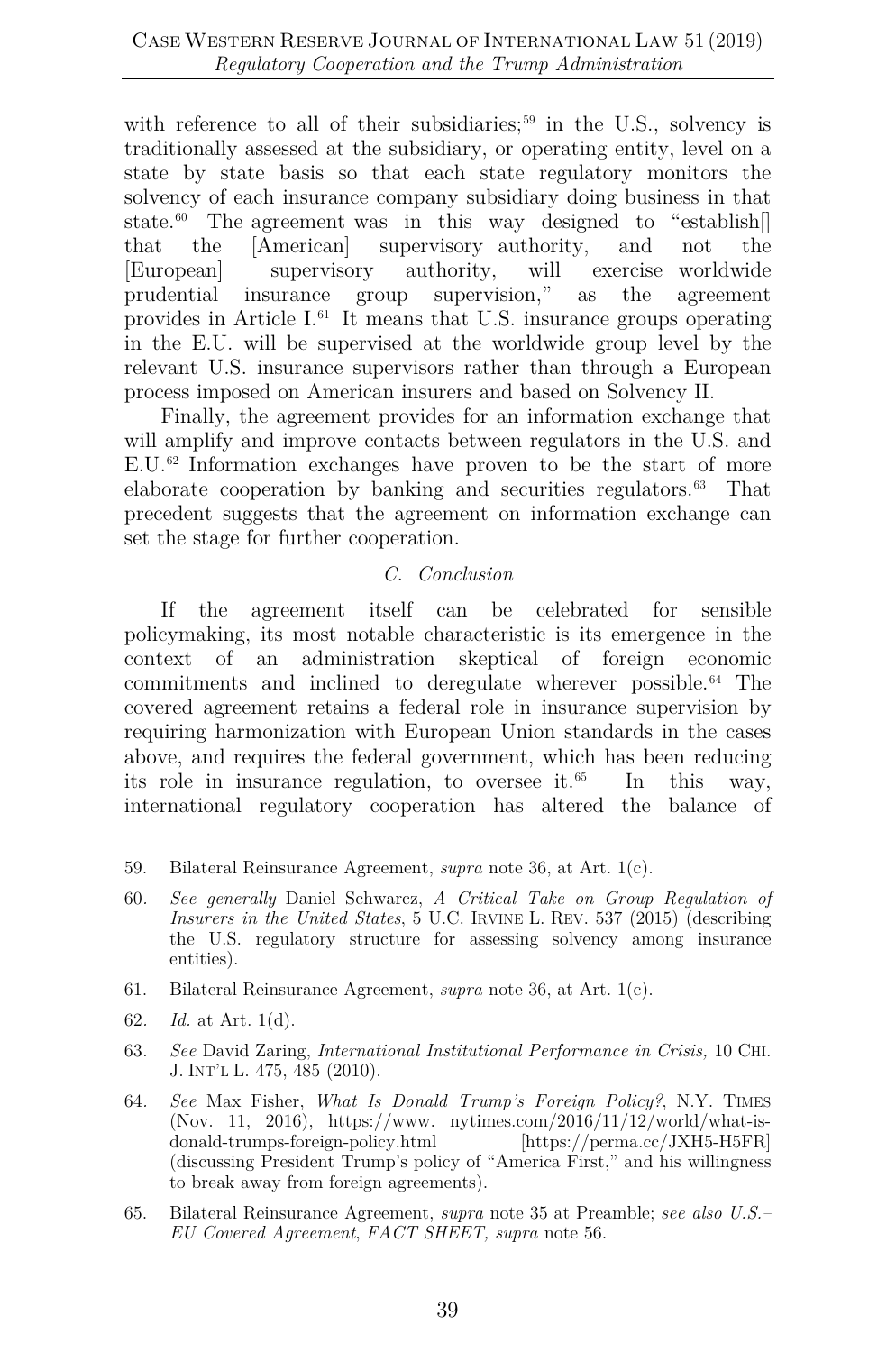with reference to all of their subsidiaries;<sup>[59](#page-11-0)</sup> in the U.S., solvency is traditionally assessed at the subsidiary, or operating entity, level on a state by state basis so that each state regulatory monitors the solvency of each insurance company subsidiary doing business in that state.<sup>[60](#page-11-1)</sup> The agreement was in this way designed to "establish. that the [American] supervisory authority, and not the [European] supervisory authority, will exercise worldwide prudential insurance group supervision," as the agreement provides in Article I[.61](#page-11-2) It means that U.S. insurance groups operating in the E.U. will be supervised at the worldwide group level by the relevant U.S. insurance supervisors rather than through a European process imposed on American insurers and based on Solvency II.

Finally, the agreement provides for an information exchange that will amplify and improve contacts between regulators in the U.S. and E.U.[62](#page-11-3) Information exchanges have proven to be the start of more elaborate cooperation by banking and securities regulators. [63](#page-11-4) That precedent suggests that the agreement on information exchange can set the stage for further cooperation.

#### *C. Conclusion*

If the agreement itself can be celebrated for sensible policymaking, its most notable characteristic is its emergence in the context of an administration skeptical of foreign economic commitments and inclined to deregulate wherever possible.[64](#page-11-5) The covered agreement retains a federal role in insurance supervision by requiring harmonization with European Union standards in the cases above, and requires the federal government, which has been reducing its role in insurance regulation, to oversee it. In this way, international regulatory cooperation has altered the balance of

<span id="page-11-4"></span>63*. See* David Zaring, *International Institutional Performance in Crisis,* 10 CHI. J. INT'L L. 475, 485 (2010).

<span id="page-11-5"></span>64*. See* Max Fisher, *What Is Donald Trump's Foreign Policy?*, N.Y. TIMES (Nov. 11, 2016), https://www. nytimes.com/2016/11/12/world/what-isdonald-trumps-foreign-policy.html [https://perma.cc/JXH5-H5FR] (discussing President Trump's policy of "America First," and his willingness to break away from foreign agreements).

<span id="page-11-0"></span><sup>59.</sup> Bilateral Reinsurance Agreement, *supra* note 36, at Art. 1(c).

<span id="page-11-1"></span><sup>60</sup>*. See generally* Daniel Schwarcz, *A Critical Take on Group Regulation of Insurers in the United States*, 5 U.C. IRVINE L. REV. 537 (2015) (describing the U.S. regulatory structure for assessing solvency among insurance entities).

<span id="page-11-2"></span><sup>61.</sup> Bilateral Reinsurance Agreement, *supra* note 36, at Art. 1(c).

<span id="page-11-3"></span><sup>62</sup>*. Id.* at Art. 1(d).

<span id="page-11-6"></span><sup>65.</sup> Bilateral Reinsurance Agreement, *supra* note 35 at Preamble; *see also U.S.– EU Covered Agreement*, *FACT SHEET, supra* note 56.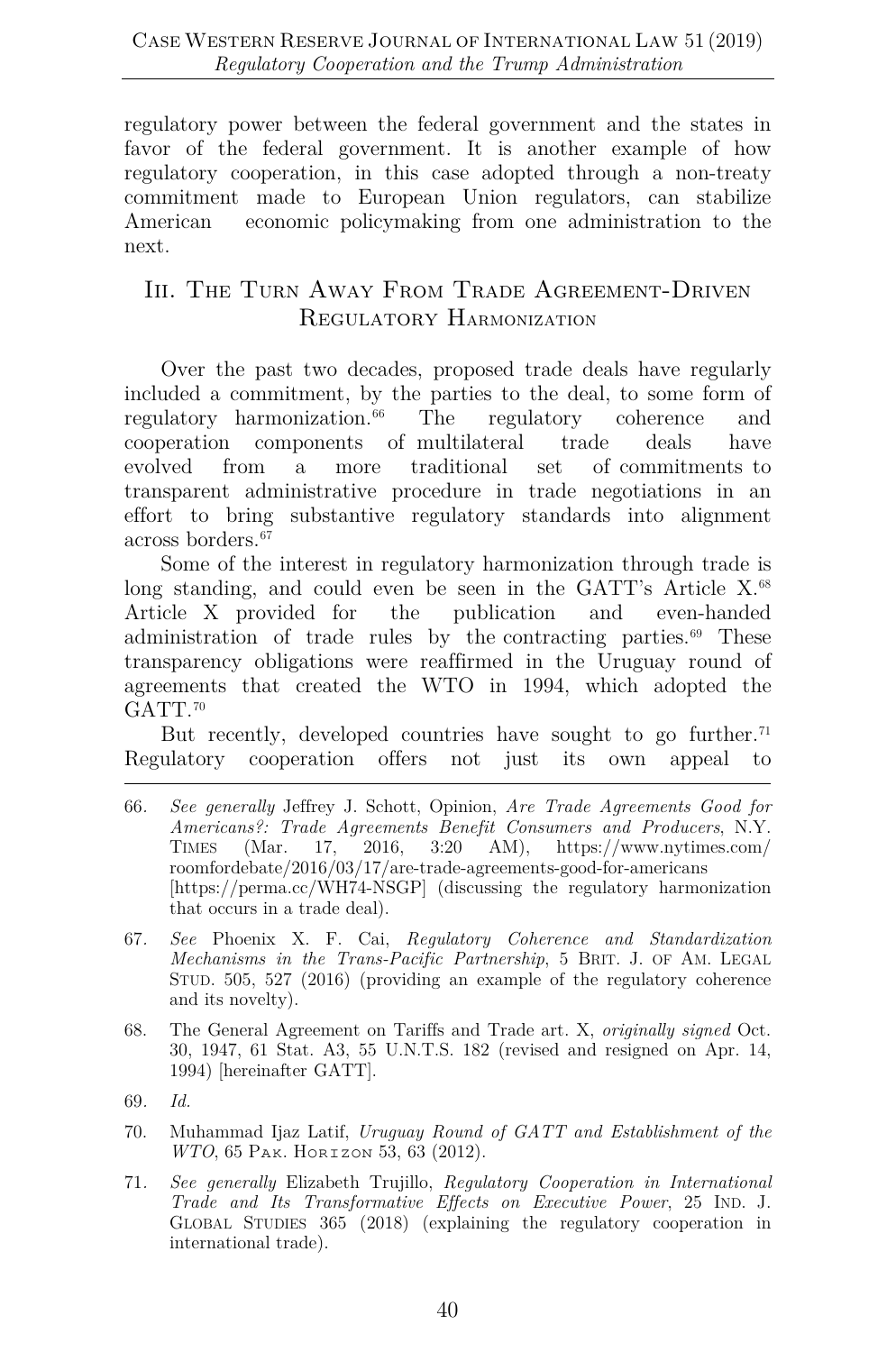regulatory power between the federal government and the states in favor of the federal government. It is another example of how regulatory cooperation, in this case adopted through a non-treaty commitment made to European Union regulators, can stabilize American economic policymaking from one administration to the next.

# III. THE TURN AWAY FROM TRADE AGREEMENT-DRIVEN REGULATORY HARMONIZATION

Over the past two decades, proposed trade deals have regularly included a commitment, by the parties to the deal, to some form of regulatory harmonization.<sup>66</sup> The regulatory coherence and cooperation components of multilateral trade deals have evolved from a more traditional set of commitments to transparent administrative procedure in trade negotiations in an effort to bring substantive regulatory standards into alignment across borders.[67](#page-12-1)

Some of the interest in regulatory harmonization through trade is long standing, and could even be seen in the GATT's Article X.<sup>68</sup> Article X provided for the publication and even-handed administration of trade rules by the contracting parties.[69](#page-12-3) These transparency obligations were reaffirmed in the Uruguay round of agreements that created the WTO in 1994, which adopted the GATT.<sup>[70](#page-12-4)</sup>

But recently, developed countries have sought to go further.<sup>71</sup> Regulatory cooperation offers not just its own appeal to

- <span id="page-12-0"></span>66*. See generally* Jeffrey J. Schott, Opinion, *Are Trade Agreements Good for Americans?: Trade Agreements Benefit Consumers and Producers*, N.Y. TIMES (Mar. 17, 2016, 3:20 AM), https://www.nytimes.com/ roomfordebate/2016/03/17/are-trade-agreements-good-for-americans [https://perma.cc/WH74-NSGP] (discussing the regulatory harmonization that occurs in a trade deal).
- <span id="page-12-1"></span>67*. See* Phoenix X. F. Cai, *Regulatory Coherence and Standardization Mechanisms in the Trans-Pacific Partnership*, 5 BRIT. J. OF AM. LEGAL STUD. 505, 527 (2016) (providing an example of the regulatory coherence and its novelty).
- <span id="page-12-2"></span>68. The General Agreement on Tariffs and Trade art. X, *originally signed* Oct. 30, 1947, 61 Stat. A3, 55 U.N.T.S. 182 (revised and resigned on Apr. 14, 1994) [hereinafter GATT].
- <span id="page-12-3"></span>69*. Id.*
- <span id="page-12-4"></span>70. Muhammad Ijaz Latif, *Uruguay Round of GATT and Establishment of the WTO*, 65 PAK. HORIZON 53, 63 (2012).
- <span id="page-12-5"></span>71*. See generally* Elizabeth Trujillo, *Regulatory Cooperation in International Trade and Its Transformative Effects on Executive Power*, 25 IND. J. GLOBAL STUDIES 365 (2018) (explaining the regulatory cooperation in international trade).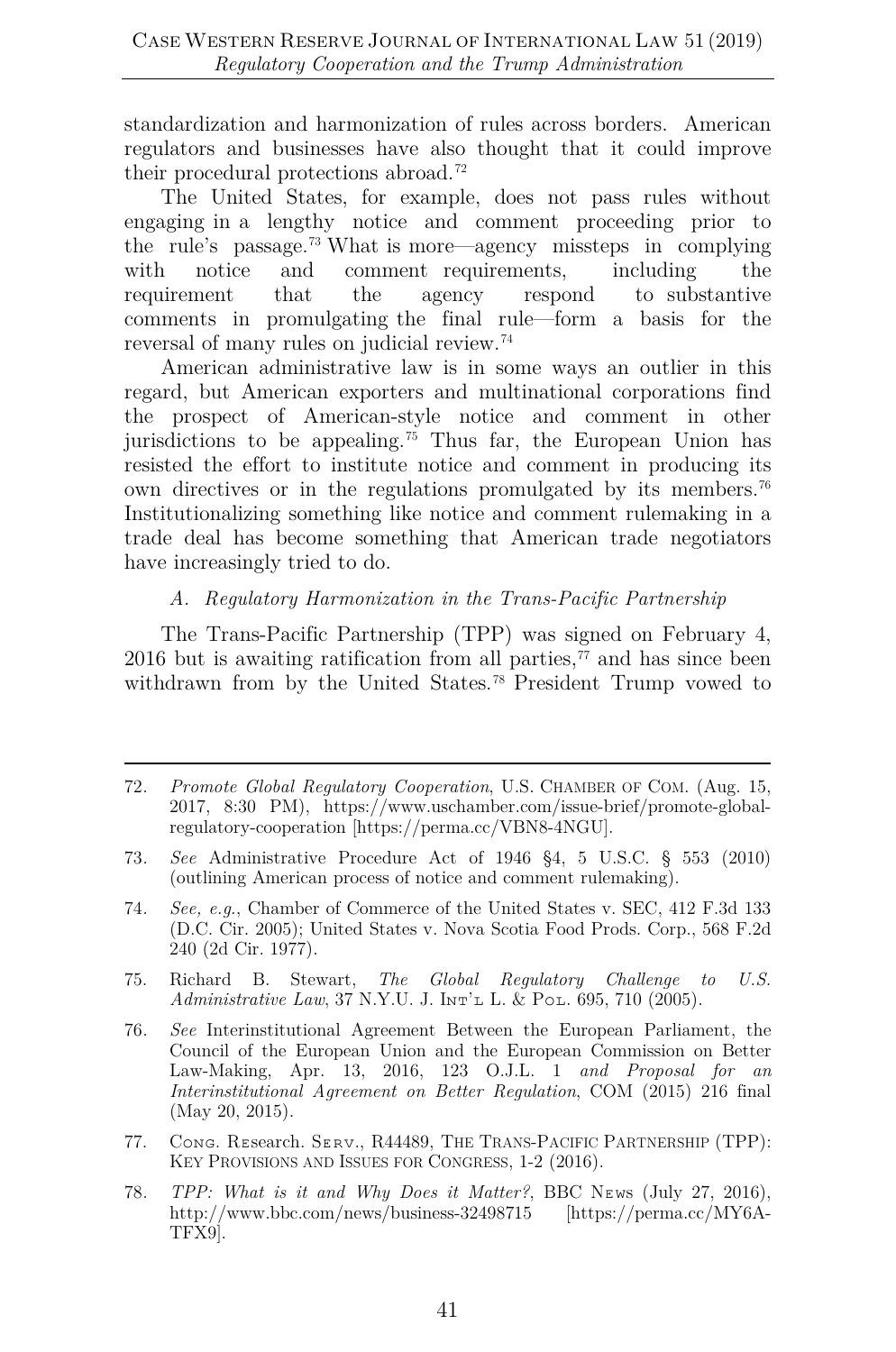standardization and harmonization of rules across borders. American regulators and businesses have also thought that it could improve their procedural protections abroad.[72](#page-13-0)

The United States, for example, does not pass rules without engaging in a lengthy notice and comment proceeding prior to the rule's passage.[73](#page-13-1) What is more—agency missteps in complying with notice and comment requirements, including the requirement that the agency respond to substantive comments in promulgating the final rule—form a basis for the reversal of many rules on judicial review.[74](#page-13-2)

American administrative law is in some ways an outlier in this regard, but American exporters and multinational corporations find the prospect of American-style notice and comment in other jurisdictions to be appealing.<sup>[75](#page-13-3)</sup> Thus far, the European Union has resisted the effort to institute notice and comment in producing its own directives or in the regulations promulgated by its members.<sup>76</sup> Institutionalizing something like notice and comment rulemaking in a trade deal has become something that American trade negotiators have increasingly tried to do.

#### *A. Regulatory Harmonization in the Trans-Pacific Partnership*

The Trans-Pacific Partnership (TPP) was signed on February 4, 2016 but is awaiting ratification from all parties, $^{77}$  $^{77}$  $^{77}$  and has since been withdrawn from by the United States.<sup>[78](#page-13-6)</sup> President Trump vowed to

- <span id="page-13-3"></span>75. Richard B. Stewart, *The Global Regulatory Challenge to U.S. Administrative Law*, 37 N.Y.U. J. INT'L L. & POL. 695, 710 (2005).
- <span id="page-13-4"></span>76*. See* Interinstitutional Agreement Between the European Parliament, the Council of the European Union and the European Commission on Better Law-Making, Apr. 13, 2016, 123 O.J.L. 1 *and Proposal for an Interinstitutional Agreement on Better Regulation*, COM (2015) 216 final (May 20, 2015).
- <span id="page-13-5"></span>77. Cᴏɴɢ. Rᴇsearch. Sᴇʀᴠ., R44489, THE TRANS-PACIFIC PARTNERSHIP (TPP): KEY PROVISIONS AND ISSUES FOR CONGRESS, 1-2 (2016).
- <span id="page-13-6"></span>78. *TPP: What is it and Why Does it Matter?*, BBC NEws (July 27, 2016), http://www.bbc.com/news/business-32498715 [https://perma.cc/MY6A-TFX9].

<span id="page-13-0"></span><sup>72</sup>*. Promote Global Regulatory Cooperation*, U.S. CHAMBER OF COM. (Aug. 15, 2017, 8:30 PM), https://www.uschamber.com/issue-brief/promote-globalregulatory-cooperation [https://perma.cc/VBN8-4NGU].

<span id="page-13-1"></span><sup>73</sup>*. See* Administrative Procedure Act of 1946 §4, 5 U.S.C. § 553 (2010) (outlining American process of notice and comment rulemaking).

<span id="page-13-2"></span><sup>74</sup>*. See, e.g.*, Chamber of Commerce of the United States v. SEC, 412 F.3d 133 (D.C. Cir. 2005); United States v. Nova Scotia Food Prods. Corp., 568 F.2d 240 (2d Cir. 1977).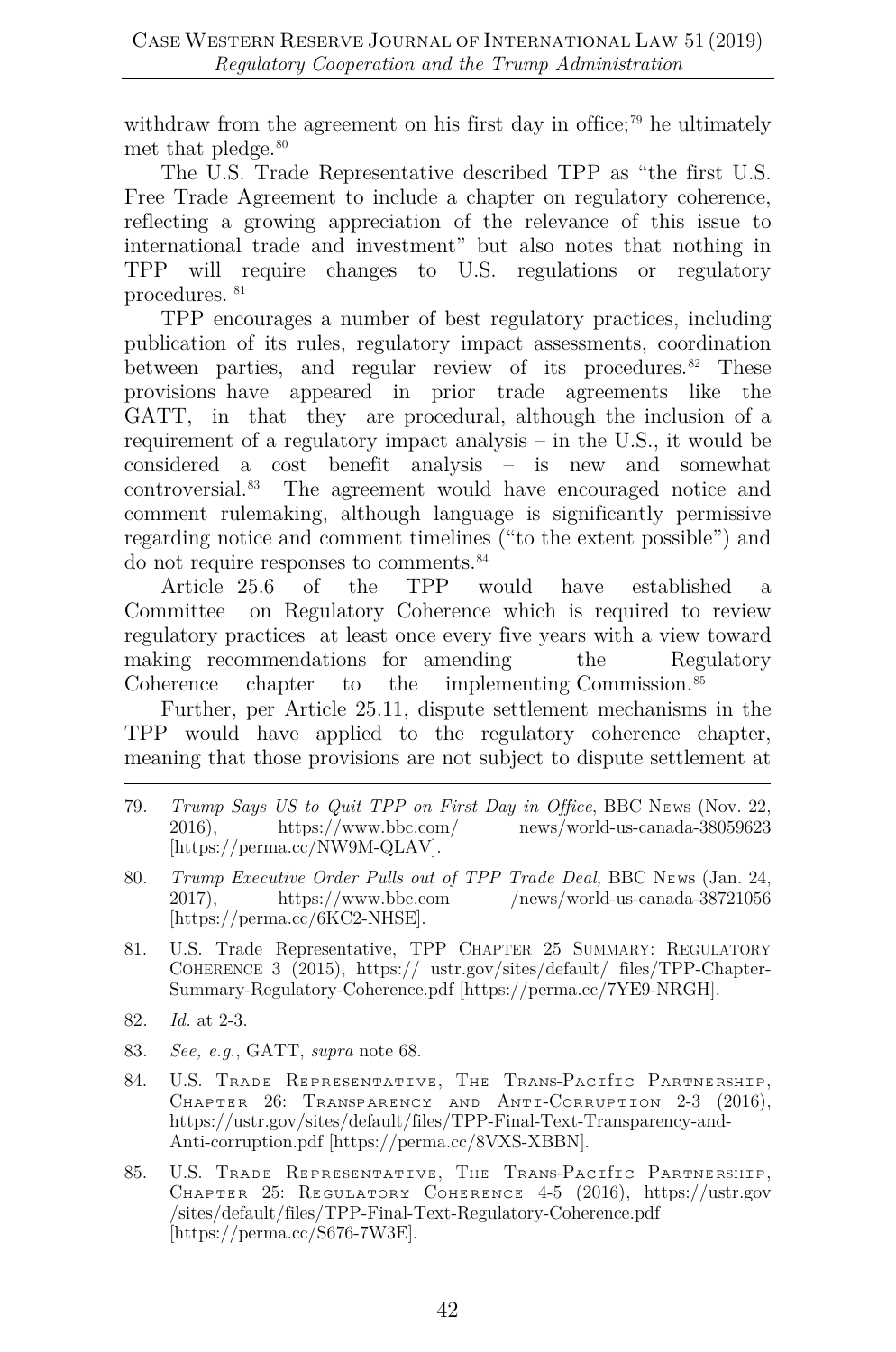withdraw from the agreement on his first day in office;<sup>[79](#page-14-0)</sup> he ultimately met that pledge.<sup>[80](#page-14-1)</sup>

The U.S. Trade Representative described TPP as "the first U.S. Free Trade Agreement to include a chapter on regulatory coherence, reflecting a growing appreciation of the relevance of this issue to international trade and investment" but also notes that nothing in TPP will require changes to U.S. regulations or regulatory procedures. [81](#page-14-2)

TPP encourages a number of best regulatory practices, including publication of its rules, regulatory impact assessments, coordination between parties, and regular review of its procedures.<sup>[82](#page-14-3)</sup> These provisions have appeared in prior trade agreements like the GATT, in that they are procedural, although the inclusion of a requirement of a regulatory impact analysis – in the U.S., it would be considered a cost benefit analysis – is new and somewhat controversial.[83](#page-14-4) The agreement would have encouraged notice and comment rulemaking, although language is significantly permissive regarding notice and comment timelines ("to the extent possible") and do not require responses to comments.[84](#page-14-5)

Article 25.6 of the TPP would have established a Committee on Regulatory Coherence which is required to review regulatory practices at least once every five years with a view toward making recommendations for amending the Regulatory Coherence chapter to the implementing Commission.<sup>[85](#page-14-6)</sup>

Further, per Article 25.11, dispute settlement mechanisms in the TPP would have applied to the regulatory coherence chapter, meaning that those provisions are not subject to dispute settlement at

- <span id="page-14-0"></span>79*. Trump Says US to Quit TPP on First Day in Office*, BBC NEws (Nov. 22, 2016), https://www.bbc.com/ news/world-us-canada-38059623 news/world-us-canada-38059623 [https://perma.cc/NW9M-QLAV].
- <span id="page-14-1"></span>80. *Trump Executive Order Pulls out of TPP Trade Deal,* BBC NEws (Jan. 24, 2017), https://www.bbc.com /news/world-us-canada-38721056  $/$ news/world-us-canada-38721056 [https://perma.cc/6KC2-NHSE].
- <span id="page-14-2"></span>81. U.S. Trade Representative, TPP CHAPTER 25 SUMMARY: REGULATORY COHERENCE 3 (2015), https:// ustr.gov/sites/default/ files/TPP-Chapter-Summary-Regulatory-Coherence.pdf [https://perma.cc/7YE9-NRGH].
- <span id="page-14-3"></span>82*. Id.* at 2-3.
- <span id="page-14-4"></span>83*. See, e.g.*, GATT, *supra* note 68.
- <span id="page-14-5"></span>84. U.S. TRADE REPRESENTATIVE, THE TRANS-PACITIC PARTNERSHIP, CHAPTER 26: TRANSPARENCY AND ANTI-CORRUPTION 2-3 (2016), https://ustr.gov/sites/default/files/TPP-Final-Text-Transparency-and-Anti-corruption.pdf [https://perma.cc/8VXS-XBBN].
- <span id="page-14-6"></span>85. U.S. TRADE REPRESENTATIVE, THE TRANS-PACITIC PARTNERSHIP, CHAPTER 25: REGULATORY COHERENCE 4-5 (2016), https://ustr.gov /sites/default/files/TPP-Final-Text-Regulatory-Coherence.pdf [https://perma.cc/S676-7W3E].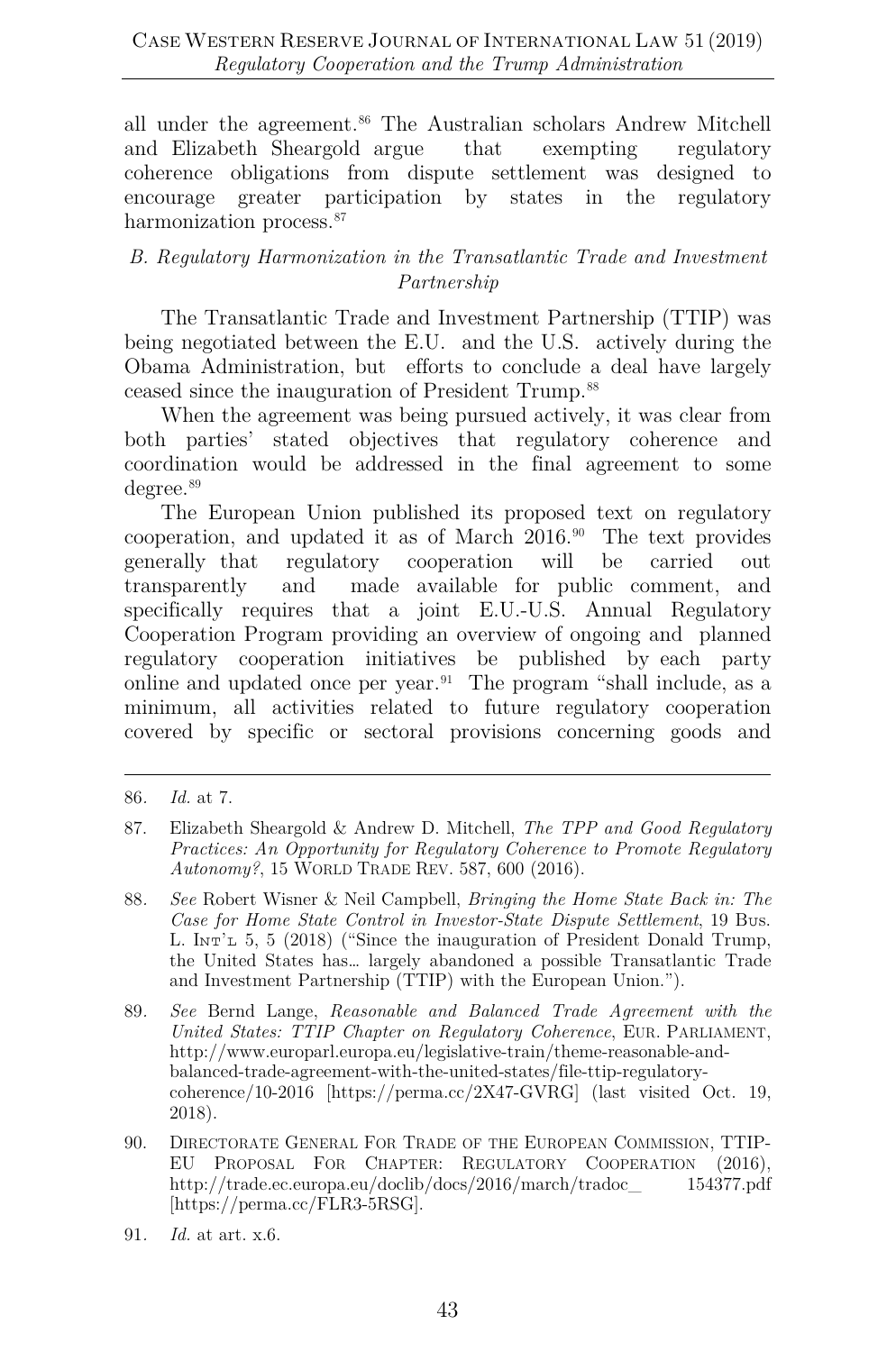all under the agreement.[86](#page-15-0) The Australian scholars Andrew Mitchell and Elizabeth Sheargold argue that exempting regulatory coherence obligations from dispute settlement was designed to encourage greater participation by states in the regulatory harmonization process.<sup>[87](#page-15-1)</sup>

#### *B. Regulatory Harmonization in the Transatlantic Trade and Investment Partnership*

The Transatlantic Trade and Investment Partnership (TTIP) was being negotiated between the E.U. and the U.S. actively during the Obama Administration, but efforts to conclude a deal have largely ceased since the inauguration of President Trump.[88](#page-15-2)

When the agreement was being pursued actively, it was clear from both parties' stated objectives that regulatory coherence and coordination would be addressed in the final agreement to some degree.<sup>[89](#page-15-3)</sup>

The European Union published its proposed text on regulatory cooperation, and updated it as of March 2016.[90](#page-15-4) The text provides generally that regulatory cooperation will be carried out transparently and made available for public comment, and specifically requires that a joint E.U.-U.S. Annual Regulatory Cooperation Program providing an overview of ongoing and planned regulatory cooperation initiatives be published by each party online and updated once per year.[91](#page-15-5) The program "shall include, as a minimum, all activities related to future regulatory cooperation covered by specific or sectoral provisions concerning goods and

- <span id="page-15-2"></span>88*. See* Robert Wisner & Neil Campbell, *Bringing the Home State Back in: The Case for Home State Control in Investor-State Dispute Settlement*, 19 Bᴜs. L.  $\text{In } \mathbb{R}^2$ , 5, 5 (2018) ("Since the inauguration of President Donald Trump, the United States has… largely abandoned a possible Transatlantic Trade and Investment Partnership (TTIP) with the European Union.").
- <span id="page-15-3"></span>89*. See* Bernd Lange, *Reasonable and Balanced Trade Agreement with the United States: TTIP Chapter on Regulatory Coherence*, EUR. PARLIAMENT, http://www.europarl.europa.eu/legislative-train/theme-reasonable-andbalanced-trade-agreement-with-the-united-states/file-ttip-regulatorycoherence/10-2016 [https://perma.cc/2X47-GVRG] (last visited Oct. 19, 2018).
- <span id="page-15-4"></span>90. DIRECTORATE GENERAL FOR TRADE OF THE EUROPEAN COMMISSION, TTIP-EU PROPOSAL FOR CHAPTER: REGULATORY COOPERATION (2016), http://trade.ec.europa.eu/doclib/docs/2016/march/tradoc\_ 154377.pdf [https://perma.cc/FLR3-5RSG].
- <span id="page-15-5"></span>91*. Id.* at art. x.6.

<span id="page-15-0"></span><sup>86</sup>*. Id.* at 7.

<span id="page-15-1"></span><sup>87.</sup> Elizabeth Sheargold & Andrew D. Mitchell, *The TPP and Good Regulatory Practices: An Opportunity for Regulatory Coherence to Promote Regulatory Autonomy?*, 15 WORLD TRADE REV. 587, 600 (2016).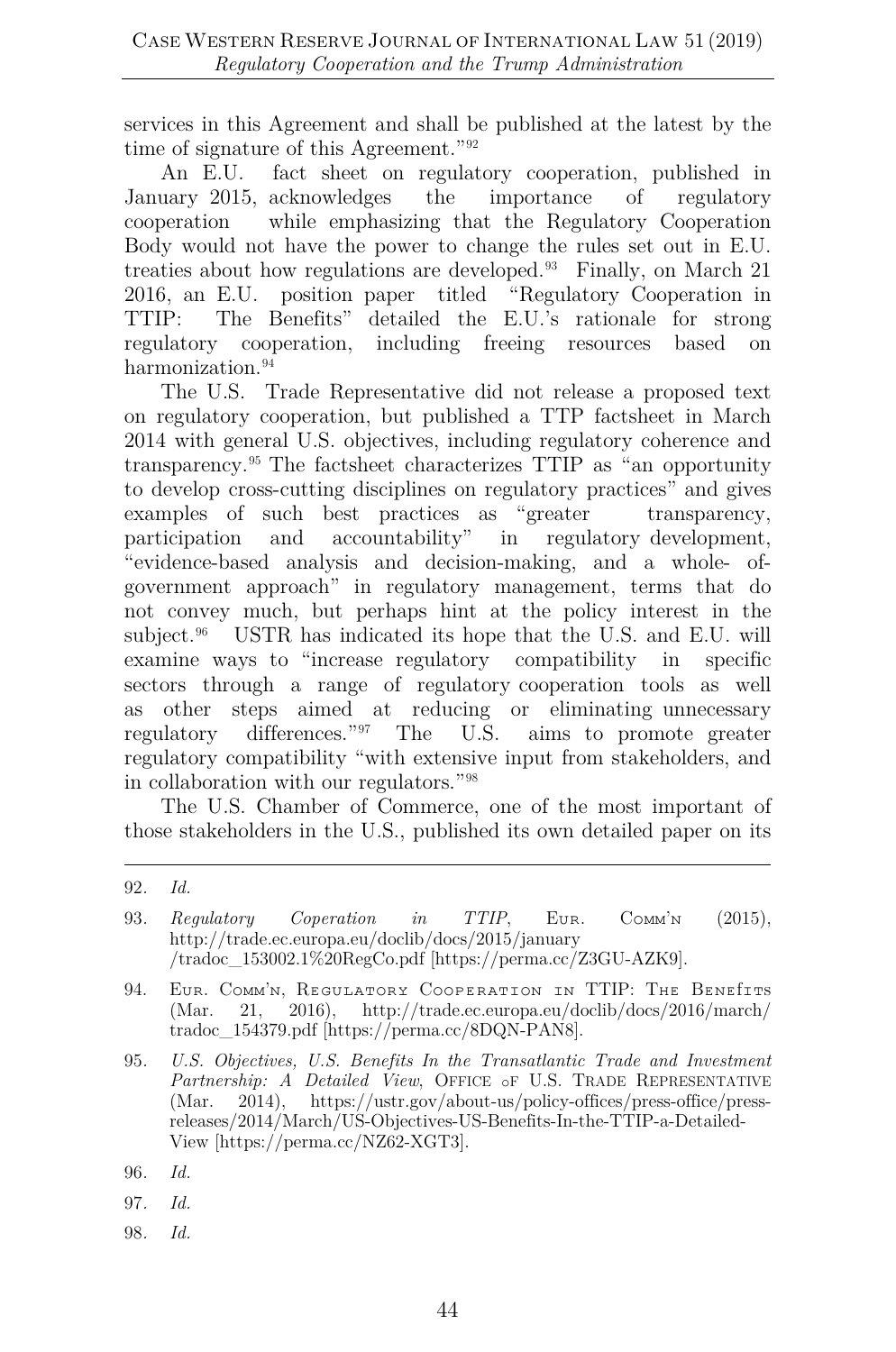services in this Agreement and shall be published at the latest by the time of signature of this Agreement."[92](#page-16-0)

An E.U. fact sheet on regulatory cooperation, published in January 2015, acknowledges the importance of regulatory cooperation while emphasizing that the Regulatory Cooperation Body would not have the power to change the rules set out in E.U. treaties about how regulations are developed.[93](#page-16-1) Finally, on March 21 2016, an E.U. position paper titled "Regulatory Cooperation in TTIP: The Benefits" detailed the E.U.'s rationale for strong regulatory cooperation, including freeing resources based on harmonization.<sup>[94](#page-16-2)</sup>

The U.S. Trade Representative did not release a proposed text on regulatory cooperation, but published a TTP factsheet in March 2014 with general U.S. objectives, including regulatory coherence and transparency.[95](#page-16-3) The factsheet characterizes TTIP as "an opportunity to develop cross-cutting disciplines on regulatory practices" and gives examples of such best practices as "greater transparency, participation and accountability" in regulatory development, "evidence-based analysis and decision-making, and a whole- ofgovernment approach" in regulatory management, terms that do not convey much, but perhaps hint at the policy interest in the subject.<sup>[96](#page-16-4)</sup> USTR has indicated its hope that the U.S. and E.U. will examine ways to "increase regulatory compatibility in specific sectors through a range of regulatory cooperation tools as well as other steps aimed at reducing or eliminating unnecessary regulatory differences."[97](#page-16-5) The U.S. aims to promote greater regulatory compatibility "with extensive input from stakeholders, and in collaboration with our regulators.["98](#page-16-6)

The U.S. Chamber of Commerce, one of the most important of those stakeholders in the U.S., published its own detailed paper on its

<span id="page-16-1"></span>93. *Regulatory Coperation in TTIP*, EUR. COMM'N (2015), http://trade.ec.europa.eu/doclib/docs/2015/january /tradoc\_153002.1%20RegCo.pdf [https://perma.cc/Z3GU-AZK9].

<span id="page-16-6"></span>98*. Id.*

<span id="page-16-0"></span><sup>92</sup>*. Id.*

<span id="page-16-2"></span><sup>94.</sup> EUR. COMM'N, REGULATORY COOPERATION IN TTIP: THE BENEITTS (Mar. 21. 2016). http://trade.ec.europa.eu/doclib/docs/2016/march/ 21, 2016), http://trade.ec.europa.eu/doclib/docs/2016/march/ tradoc\_154379.pdf [https://perma.cc/8DQN-PAN8].

<span id="page-16-3"></span><sup>95</sup>*. U.S. Objectives, U.S. Benefits In the Transatlantic Trade and Investment*  Partnership: A Detailed View, OFFICE OF U.S. TRADE REPRESENTATIVE (Mar. 2014), https://ustr.gov/about-us/policy-offices/press-office/pressreleases/2014/March/US-Objectives-US-Benefits-In-the-TTIP-a-Detailed-View [https://perma.cc/NZ62-XGT3].

<span id="page-16-4"></span><sup>96</sup>*. Id.*

<span id="page-16-5"></span><sup>97</sup>*. Id.*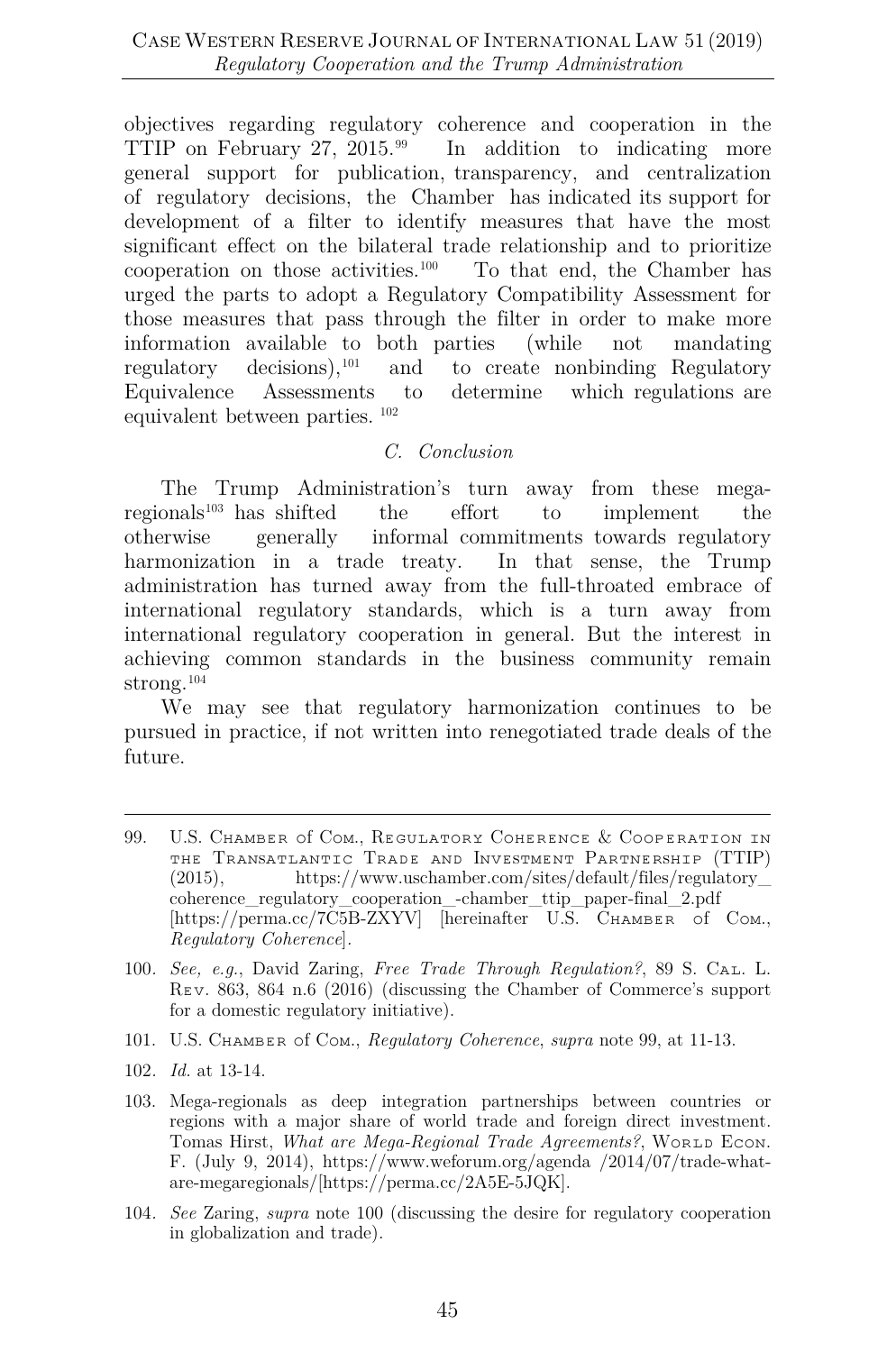objectives regarding regulatory coherence and cooperation in the TTIP on February 27, 2015.<sup>[99](#page-17-0)</sup> In addition to indicating more general support for publication, transparency, and centralization of regulatory decisions, the Chamber has indicated its support for development of a filter to identify measures that have the most significant effect on the bilateral trade relationship and to prioritize cooperation on those activities.[100](#page-17-1) To that end, the Chamber has urged the parts to adopt a Regulatory Compatibility Assessment for those measures that pass through the filter in order to make more information available to both parties (while not mandating regulatory decisions),  $101$  and to create nonbinding Regulatory Equivalence Assessments to determine which regulations are equivalent between parties. [102](#page-17-3)

#### *C. Conclusion*

The Trump Administration's turn away from these megaregionals[103](#page-17-4) has shifted the effort to implement the otherwise generally informal commitments towards regulatory harmonization in a trade treaty. In that sense, the Trump administration has turned away from the full-throated embrace of international regulatory standards, which is a turn away from international regulatory cooperation in general. But the interest in achieving common standards in the business community remain strong.[104](#page-17-5)

We may see that regulatory harmonization continues to be pursued in practice, if not written into renegotiated trade deals of the future.

- <span id="page-17-1"></span>100*. See, e.g.*, David Zaring, *Free Trade Through Regulation?*, 89 S. Cᴀʟ. L. Rᴇᴠ. 863, 864 n.6 (2016) (discussing the Chamber of Commerce's support for a domestic regulatory initiative).
- <span id="page-17-2"></span>101. U.S. Cʜᴀᴍʙᴇʀ ᴏf Cᴏᴍ., *Regulatory Coherence*, *supra* note 99, at 11-13.
- <span id="page-17-3"></span>102*. Id.* at 13-14.
- <span id="page-17-4"></span>103. Mega-regionals as deep integration partnerships between countries or regions with a major share of world trade and foreign direct investment. Tomas Hirst, *What are Mega-Regional Trade Agreements?*, WORLD ECON. F. (July 9, 2014), https://www.weforum.org/agenda /2014/07/trade-whatare-megaregionals/[https://perma.cc/2A5E-5JQK].
- <span id="page-17-5"></span>104*. See* Zaring, *supra* note 100 (discussing the desire for regulatory cooperation in globalization and trade).

<span id="page-17-0"></span><sup>99.</sup> U.S. CHAMBER Of COM., REGULATORY COHERENCE & COOPERATION IN THE TRANSATLANTIC TRADE AND INVESTMENT PARTNERSHIP (TTIP)<br>(2015). https://www.uschamber.com/sites/default/files/regulatory https://www.uschamber.com/sites/default/files/regulatory coherence\_regulatory\_cooperation\_-chamber\_ttip\_paper-final\_2.pdf [https://perma.cc/7C5B-ZXYV] [hereinafter U.S. CHAMBER of COM., *Regulatory Coherence*]*.*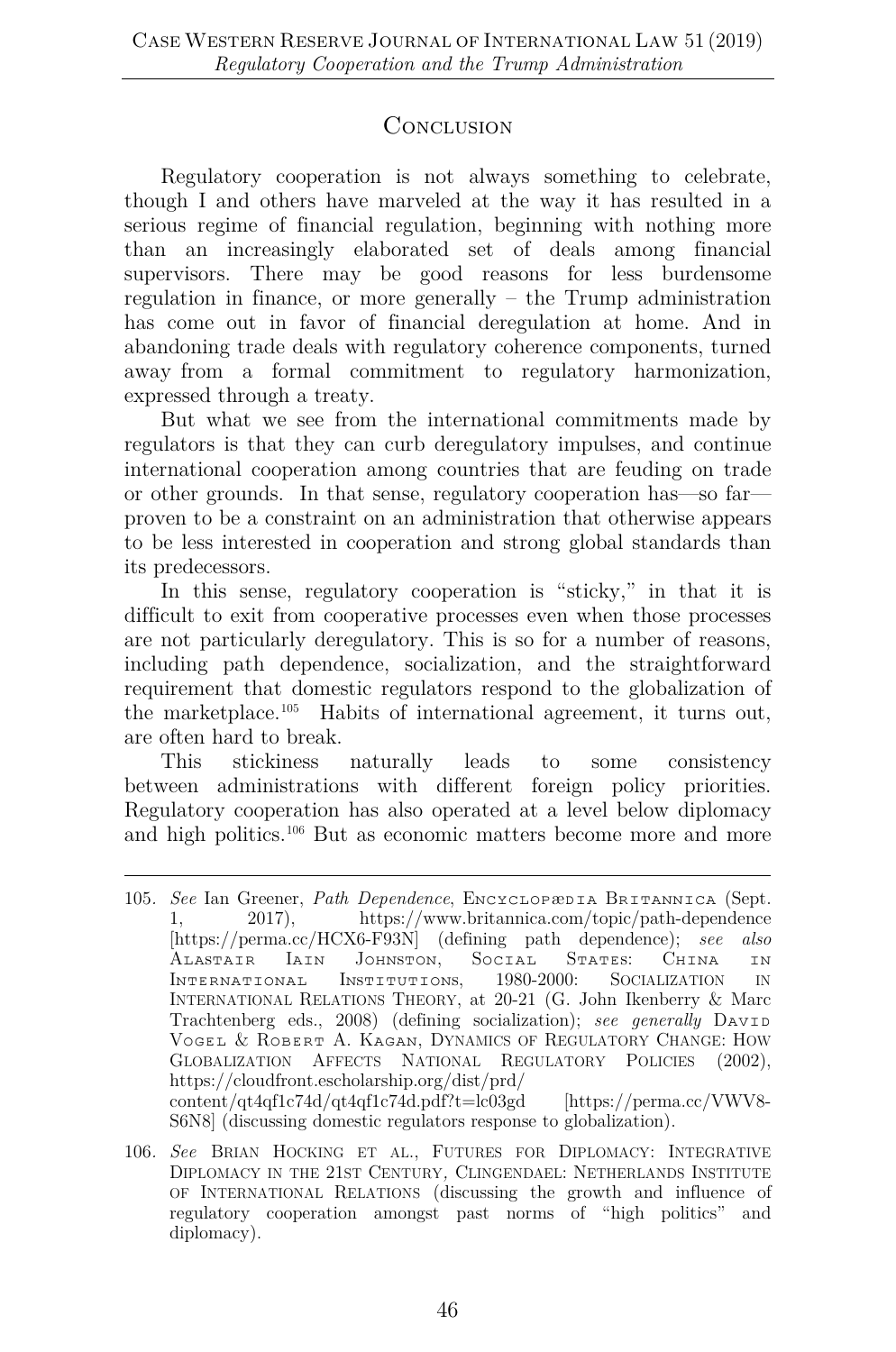### **CONCLUSION**

Regulatory cooperation is not always something to celebrate, though I and others have marveled at the way it has resulted in a serious regime of financial regulation, beginning with nothing more than an increasingly elaborated set of deals among financial supervisors. There may be good reasons for less burdensome regulation in finance, or more generally – the Trump administration has come out in favor of financial deregulation at home. And in abandoning trade deals with regulatory coherence components, turned away from a formal commitment to regulatory harmonization, expressed through a treaty.

But what we see from the international commitments made by regulators is that they can curb deregulatory impulses, and continue international cooperation among countries that are feuding on trade or other grounds. In that sense, regulatory cooperation has—so far proven to be a constraint on an administration that otherwise appears to be less interested in cooperation and strong global standards than its predecessors.

In this sense, regulatory cooperation is "sticky," in that it is difficult to exit from cooperative processes even when those processes are not particularly deregulatory. This is so for a number of reasons, including path dependence, socialization, and the straightforward requirement that domestic regulators respond to the globalization of the marketplace.[105](#page-18-0) Habits of international agreement, it turns out, are often hard to break.

This stickiness naturally leads to some consistency between administrations with different foreign policy priorities. Regulatory cooperation has also operated at a level below diplomacy and high politics.[106](#page-18-1) But as economic matters become more and more

<span id="page-18-0"></span><sup>105</sup>*. See* Ian Greener, *Path Dependence*, ENCYCLOPEDIA BRITANNICA (Sept. 1, 2017), https://www.britannica.com/topic/path-dependence https://www.britannica.com/topic/path-dependence [https://perma.cc/HCX6-F93N] (defining path dependence); *see also*  ALASTAIR IAIN JOHNSTON, SOCIAL STATES: CHINA IN<br>INTERNATIONAL INSTITUTIONS, 1980-2000: SOCIALIZATION IN INSTITUTIONS, INTERNATIONAL RELATIONS THEORY, at 20-21 (G. John Ikenberry & Marc Trachtenberg eds., 2008) (defining socialization); *see generally* DAVID VOGEL & ROBERT A. KAGAN, DYNAMICS OF REGULATORY CHANGE: HOW<br>GLOBALIZATION AFFECTS NATIONAL REGULATORY POLICIES (2002). GLOBALIZATION AFFECTS NATIONAL REGULATORY POLICIES https://cloudfront.escholarship.org/dist/prd/ content/qt4qf1c74d/qt4qf1c74d.pdf?t=lc03gd [https://perma.cc/VWV8-S6N8] (discussing domestic regulators response to globalization).

<span id="page-18-1"></span><sup>106</sup>*. See* BRIAN HOCKING ET AL., FUTURES FOR DIPLOMACY: INTEGRATIVE DIPLOMACY IN THE 21ST CENTURY*,* CLINGENDAEL: NETHERLANDS INSTITUTE OF INTERNATIONAL RELATIONS (discussing the growth and influence of regulatory cooperation amongst past norms of "high politics" and diplomacy).